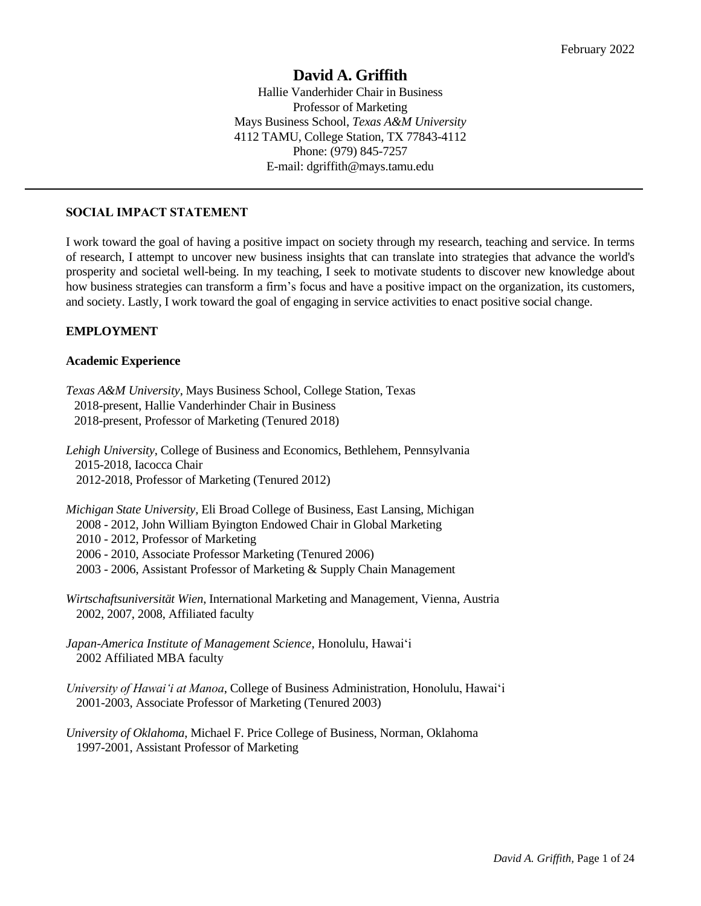# **David A. Griffith**

Hallie Vanderhider Chair in Business Professor of Marketing Mays Business School, *Texas A&M University* 4112 TAMU, College Station, TX 77843-4112 Phone: (979) 845-7257 E-mail: dgriffith@mays.tamu.edu

### **SOCIAL IMPACT STATEMENT**

I work toward the goal of having a positive impact on society through my research, teaching and service. In terms of research, I attempt to uncover new business insights that can translate into strategies that advance the world's prosperity and societal well-being. In my teaching, I seek to motivate students to discover new knowledge about how business strategies can transform a firm's focus and have a positive impact on the organization, its customers, and society. Lastly, I work toward the goal of engaging in service activities to enact positive social change.

### **EMPLOYMENT**

### **Academic Experience**

*Texas A&M University*, Mays Business School, College Station, Texas 2018-present, Hallie Vanderhinder Chair in Business 2018-present, Professor of Marketing (Tenured 2018)

*Lehigh University*, College of Business and Economics, Bethlehem, Pennsylvania 2015-2018, Iacocca Chair 2012-2018, Professor of Marketing (Tenured 2012)

*Michigan State University,* Eli Broad College of Business, East Lansing, Michigan 2008 - 2012, John William Byington Endowed Chair in Global Marketing 2010 - 2012, Professor of Marketing 2006 - 2010, Associate Professor Marketing (Tenured 2006) 2003 - 2006, Assistant Professor of Marketing & Supply Chain Management

*Wirtschaftsuniversität Wien*, International Marketing and Management, Vienna, Austria 2002, 2007, 2008, Affiliated faculty

*Japan-America Institute of Management Science*, Honolulu, Hawai'i 2002 Affiliated MBA faculty

*University of Hawai'i at Manoa*, College of Business Administration, Honolulu, Hawai'i 2001-2003, Associate Professor of Marketing (Tenured 2003)

*University of Oklahoma*, Michael F. Price College of Business, Norman, Oklahoma 1997-2001, Assistant Professor of Marketing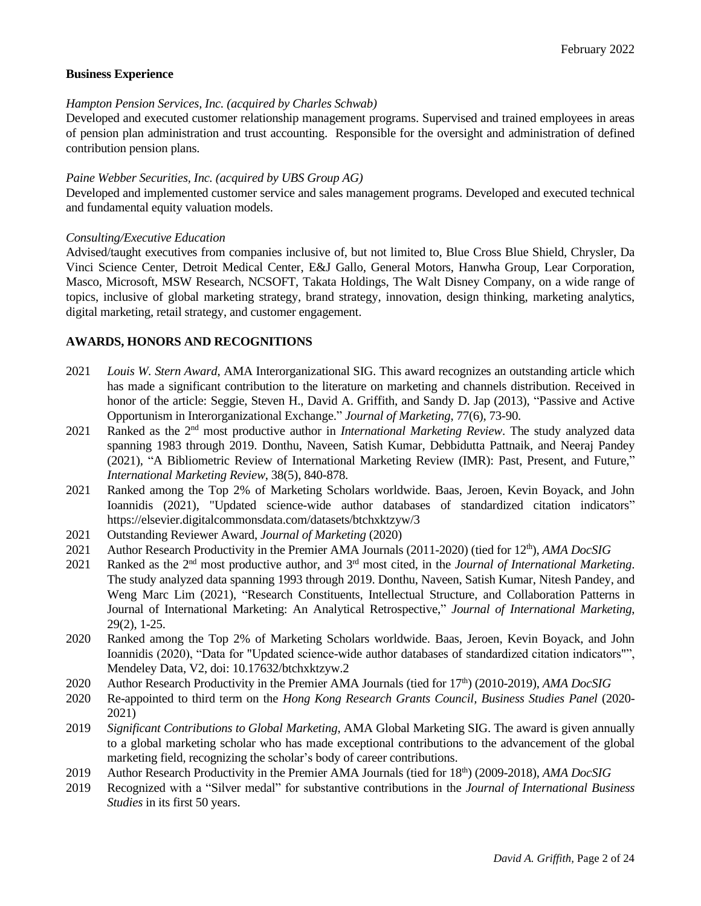### **Business Experience**

#### *Hampton Pension Services, Inc. (acquired by Charles Schwab)*

Developed and executed customer relationship management programs. Supervised and trained employees in areas of pension plan administration and trust accounting. Responsible for the oversight and administration of defined contribution pension plans.

### *Paine Webber Securities, Inc. (acquired by UBS Group AG)*

Developed and implemented customer service and sales management programs. Developed and executed technical and fundamental equity valuation models.

#### *Consulting/Executive Education*

Advised/taught executives from companies inclusive of, but not limited to, Blue Cross Blue Shield, Chrysler, Da Vinci Science Center, Detroit Medical Center, E&J Gallo, General Motors, Hanwha Group, Lear Corporation, Masco, Microsoft, MSW Research, NCSOFT, Takata Holdings, The Walt Disney Company, on a wide range of topics, inclusive of global marketing strategy, brand strategy, innovation, design thinking, marketing analytics, digital marketing, retail strategy, and customer engagement.

### **AWARDS, HONORS AND RECOGNITIONS**

- 2021 *Louis W. Stern Award*, AMA Interorganizational SIG. This award recognizes an outstanding article which has made a significant contribution to the literature on marketing and channels distribution. Received in honor of the article: Seggie, Steven H., David A. Griffith, and Sandy D. Jap (2013), "Passive and Active Opportunism in Interorganizational Exchange." *Journal of Marketing*, 77(6), 73-90.
- 2021 Ranked as the 2<sup>nd</sup> most productive author in *International Marketing Review*. The study analyzed data spanning 1983 through 2019. Donthu, Naveen, Satish Kumar, Debbidutta Pattnaik, and Neeraj Pandey (2021), "A Bibliometric Review of International Marketing Review (IMR): Past, Present, and Future," *International Marketing Review*, 38(5), 840-878.
- 2021 Ranked among the Top 2% of Marketing Scholars worldwide. Baas, Jeroen, Kevin Boyack, and John Ioannidis (2021), "Updated science-wide author databases of standardized citation indicators" https://elsevier.digitalcommonsdata.com/datasets/btchxktzyw/3
- 2021 Outstanding Reviewer Award, *Journal of Marketing* (2020)
- 2021 Author Research Productivity in the Premier AMA Journals (2011-2020) (tied for 12<sup>th</sup>), *AMA DocSIG*
- 2021 Ranked as the 2<sup>nd</sup> most productive author, and 3<sup>rd</sup> most cited, in the *Journal of International Marketing*. The study analyzed data spanning 1993 through 2019. Donthu, Naveen, Satish Kumar, Nitesh Pandey, and Weng Marc Lim (2021), "Research Constituents, Intellectual Structure, and Collaboration Patterns in Journal of International Marketing: An Analytical Retrospective," *Journal of International Marketing*, 29(2), 1-25.
- 2020 Ranked among the Top 2% of Marketing Scholars worldwide. Baas, Jeroen, Kevin Boyack, and John Ioannidis (2020), "Data for "Updated science-wide author databases of standardized citation indicators"", Mendeley Data, V2, doi: 10.17632/btchxktzyw.2
- 2020 Author Research Productivity in the Premier AMA Journals (tied for 17 th) (2010-2019), *AMA DocSIG*
- 2020 Re-appointed to third term on the *Hong Kong Research Grants Council, Business Studies Panel* (2020- 2021)
- 2019 *Significant Contributions to Global Marketing*, AMA Global Marketing SIG. The award is given annually to a global marketing scholar who has made exceptional contributions to the advancement of the global marketing field, recognizing the scholar's body of career contributions.
- 2019 Author Research Productivity in the Premier AMA Journals (tied for 18<sup>th</sup>) (2009-2018), *AMA DocSIG*
- 2019 Recognized with a "Silver medal" for substantive contributions in the *Journal of International Business Studies* in its first 50 years.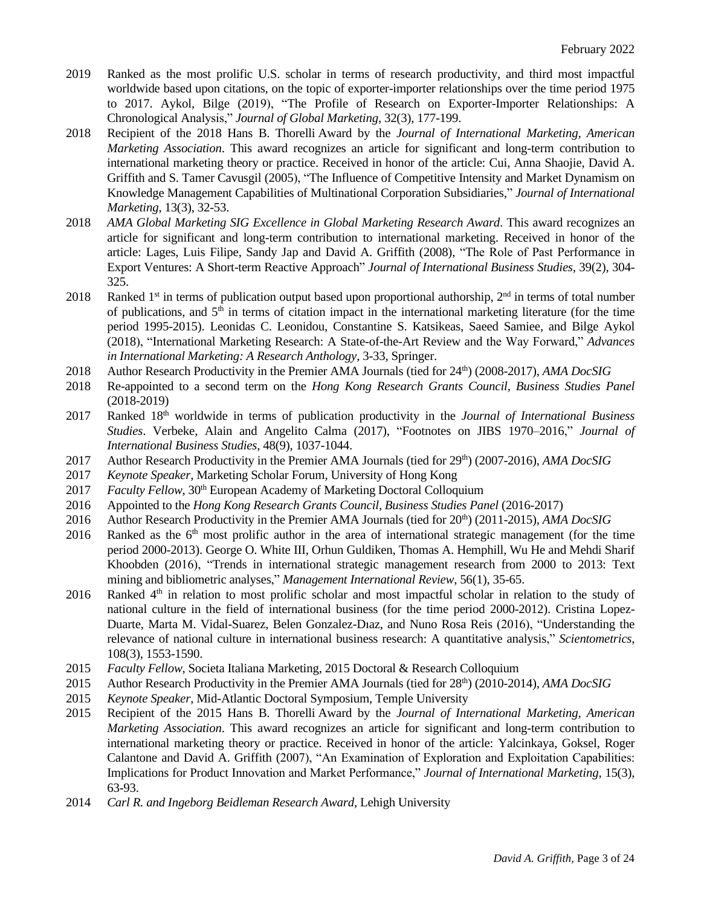- 2019 Ranked as the most prolific U.S. scholar in terms of research productivity, and third most impactful worldwide based upon citations, on the topic of exporter-importer relationships over the time period 1975 to 2017. Aykol, Bilge (2019), "The Profile of Research on Exporter-Importer Relationships: A Chronological Analysis," *Journal of Global Marketing*, 32(3), 177-199.
- 2018 Recipient of the 2018 Hans B. Thorelli Award by the *Journal of International Marketing, American Marketing Association*. This award recognizes an article for significant and long-term contribution to international marketing theory or practice. Received in honor of the article: Cui, Anna Shaojie, David A. Griffith and S. Tamer Cavusgil (2005), "The Influence of Competitive Intensity and Market Dynamism on Knowledge Management Capabilities of Multinational Corporation Subsidiaries," *Journal of International Marketing*, 13(3), 32-53.
- 2018 *AMA Global Marketing SIG Excellence in Global Marketing Research Award*. This award recognizes an article for significant and long-term contribution to international marketing. Received in honor of the article: Lages, Luis Filipe, Sandy Jap and David A. Griffith (2008), "The Role of Past Performance in Export Ventures: A Short-term Reactive Approach" *Journal of International Business Studies,* 39(2), 304- 325.
- 2018 Ranked  $1<sup>st</sup>$  in terms of publication output based upon proportional authorship,  $2<sup>nd</sup>$  in terms of total number of publications, and 5<sup>th</sup> in terms of citation impact in the international marketing literature (for the time period 1995-2015). Leonidas C. Leonidou, Constantine S. Katsikeas, Saeed Samiee, and Bilge Aykol (2018), "International Marketing Research: A State-of-the-Art Review and the Way Forward," *Advances in International Marketing: A Research Anthology*, 3-33, Springer.
- 2018 Author Research Productivity in the Premier AMA Journals (tied for 24<sup>th</sup>) (2008-2017), *AMA DocSIG*
- 2018 Re-appointed to a second term on the *Hong Kong Research Grants Council, Business Studies Panel* (2018-2019)
- 2017 Ranked 18th worldwide in terms of publication productivity in the *Journal of International Business Studies*. Verbeke, Alain and Angelito Calma (2017), "Footnotes on JIBS 1970–2016," *Journal of International Business Studies*, 48(9), 1037-1044.
- 2017 Author Research Productivity in the Premier AMA Journals (tied for 29<sup>th</sup>) (2007-2016), *AMA DocSIG*
- 2017 *Keynote Speaker*, Marketing Scholar Forum, University of Hong Kong
- 2017 *Faculty Fellow*, 30<sup>th</sup> European Academy of Marketing Doctoral Colloquium
- 2016 Appointed to the *Hong Kong Research Grants Council, Business Studies Panel* (2016-2017)
- 2016 Author Research Productivity in the Premier AMA Journals (tied for 20<sup>th</sup>) (2011-2015), *AMA DocSIG*
- 2016 Ranked as the  $6<sup>th</sup>$  most prolific author in the area of international strategic management (for the time period 2000-2013). George O. White III, Orhun Guldiken, Thomas A. Hemphill, Wu He and Mehdi Sharif Khoobden (2016), "Trends in international strategic management research from 2000 to 2013: Text mining and bibliometric analyses," *Management International Review*, 56(1), 35-65.
- 2016 Ranked  $4<sup>th</sup>$  in relation to most prolific scholar and most impactful scholar in relation to the study of national culture in the field of international business (for the time period 2000-2012). Cristina Lopez-Duarte, Marta M. Vidal-Suarez, Belen Gonzalez-Dıaz, and Nuno Rosa Reis (2016), "Understanding the relevance of national culture in international business research: A quantitative analysis," *Scientometrics*, 108(3), 1553-1590.
- 2015 *Faculty Fellow*, Societa Italiana Marketing, 2015 Doctoral & Research Colloquium
- 2015 Author Research Productivity in the Premier AMA Journals (tied for 28<sup>th</sup>) (2010-2014), *AMA DocSIG*
- 2015 *Keynote Speaker*, Mid-Atlantic Doctoral Symposium, Temple University
- 2015 Recipient of the 2015 Hans B. Thorelli Award by the *Journal of International Marketing, American Marketing Association*. This award recognizes an article for significant and long-term contribution to international marketing theory or practice. Received in honor of the article: Yalcinkaya, Goksel, Roger Calantone and David A. Griffith (2007), "An Examination of Exploration and Exploitation Capabilities: Implications for Product Innovation and Market Performance," *Journal of International Marketing*, 15(3), 63-93.
- 2014 *Carl R. and Ingeborg Beidleman Research Award*, Lehigh University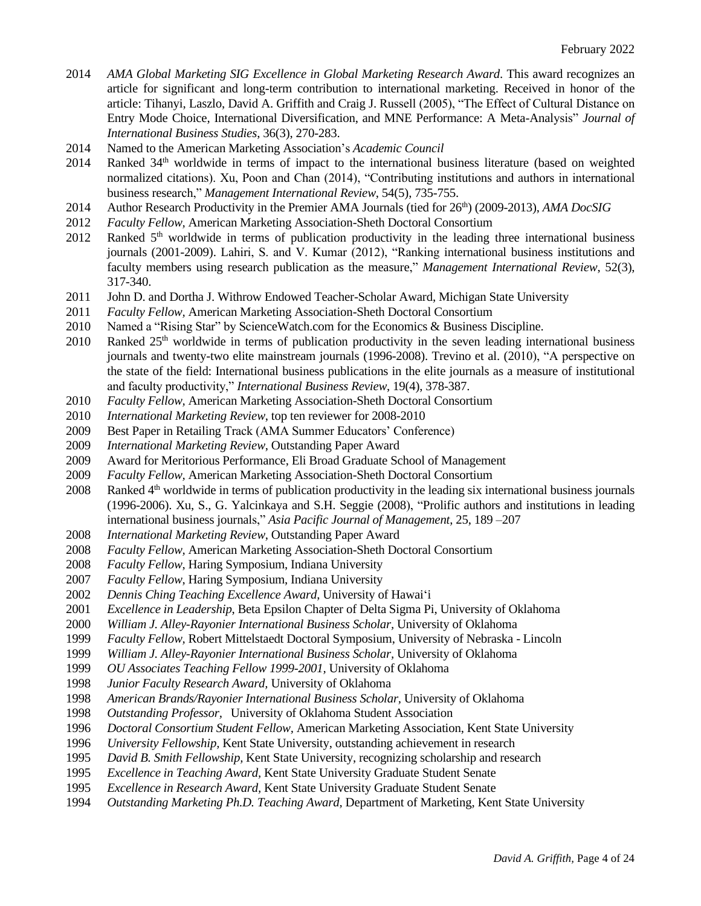- 2014 *AMA Global Marketing SIG Excellence in Global Marketing Research Award*. This award recognizes an article for significant and long-term contribution to international marketing. Received in honor of the article: Tihanyi, Laszlo, David A. Griffith and Craig J. Russell (2005), "The Effect of Cultural Distance on Entry Mode Choice, International Diversification, and MNE Performance: A Meta-Analysis" *Journal of International Business Studies*, 36(3), 270-283.
- 2014 Named to the American Marketing Association's *Academic Council*
- 2014 Ranked 34th worldwide in terms of impact to the international business literature (based on weighted normalized citations). Xu, Poon and Chan (2014), "Contributing institutions and authors in international business research," *Management International Review*, 54(5), 735-755.
- 2014 Author Research Productivity in the Premier AMA Journals (tied for 26<sup>th</sup>) (2009-2013), *AMA DocSIG*
- 2012 *Faculty Fellow,* American Marketing Association-Sheth Doctoral Consortium
- 2012 Ranked 5<sup>th</sup> worldwide in terms of publication productivity in the leading three international business journals (2001-2009). Lahiri, S. and V. Kumar (2012), "Ranking international business institutions and faculty members using research publication as the measure," *Management International Review*, 52(3), 317-340.
- 2011 John D. and Dortha J. Withrow Endowed Teacher-Scholar Award, Michigan State University
- 2011 *Faculty Fellow,* American Marketing Association-Sheth Doctoral Consortium
- 2010 Named a "Rising Star" by ScienceWatch.com for the Economics & Business Discipline.
- 2010 Ranked  $25<sup>th</sup>$  worldwide in terms of publication productivity in the seven leading international business journals and twenty-two elite mainstream journals (1996-2008). Trevino et al. (2010), "A perspective on the state of the field: International business publications in the elite journals as a measure of institutional and faculty productivity," *International Business Review*, 19(4), 378-387.
- 2010 *Faculty Fellow,* American Marketing Association-Sheth Doctoral Consortium
- 2010 *International Marketing Review*, top ten reviewer for 2008-2010
- 2009 Best Paper in Retailing Track (AMA Summer Educators' Conference)
- 2009 *International Marketing Review*, Outstanding Paper Award
- 2009 Award for Meritorious Performance, Eli Broad Graduate School of Management
- 2009 *Faculty Fellow,* American Marketing Association-Sheth Doctoral Consortium
- 2008 Ranked 4<sup>th</sup> worldwide in terms of publication productivity in the leading six international business journals (1996-2006). Xu, S., G. Yalcinkaya and S.H. Seggie (2008), "Prolific authors and institutions in leading international business journals," *Asia Pacific Journal of Management*, 25, 189 –207
- 2008 *International Marketing Review*, Outstanding Paper Award
- 2008 *Faculty Fellow,* American Marketing Association-Sheth Doctoral Consortium
- 2008 *Faculty Fellow*, Haring Symposium, Indiana University
- 2007 *Faculty Fellow*, Haring Symposium, Indiana University
- 2002 *Dennis Ching Teaching Excellence Award*, University of Hawai'i
- 2001 *Excellence in Leadership*, Beta Epsilon Chapter of Delta Sigma Pi, University of Oklahoma
- 2000 *William J. Alley-Rayonier International Business Scholar,* University of Oklahoma
- 1999 *Faculty Fellow,* Robert Mittelstaedt Doctoral Symposium, University of Nebraska Lincoln
- 1999 *William J. Alley-Rayonier International Business Scholar,* University of Oklahoma
- 1999 *OU Associates Teaching Fellow 1999-2001,* University of Oklahoma
- 1998 *Junior Faculty Research Award,* University of Oklahoma
- 1998 *American Brands/Rayonier International Business Scholar,* University of Oklahoma
- 1998 *Outstanding Professor,* University of Oklahoma Student Association
- 1996 *Doctoral Consortium Student Fellow,* American Marketing Association, Kent State University
- 1996 *University Fellowship,* Kent State University, outstanding achievement in research
- 1995 *David B. Smith Fellowship,* Kent State University, recognizing scholarship and research
- 1995 *Excellence in Teaching Award,* Kent State University Graduate Student Senate
- 1995 *Excellence in Research Award,* Kent State University Graduate Student Senate
- 1994 *Outstanding Marketing Ph.D. Teaching Award,* Department of Marketing, Kent State University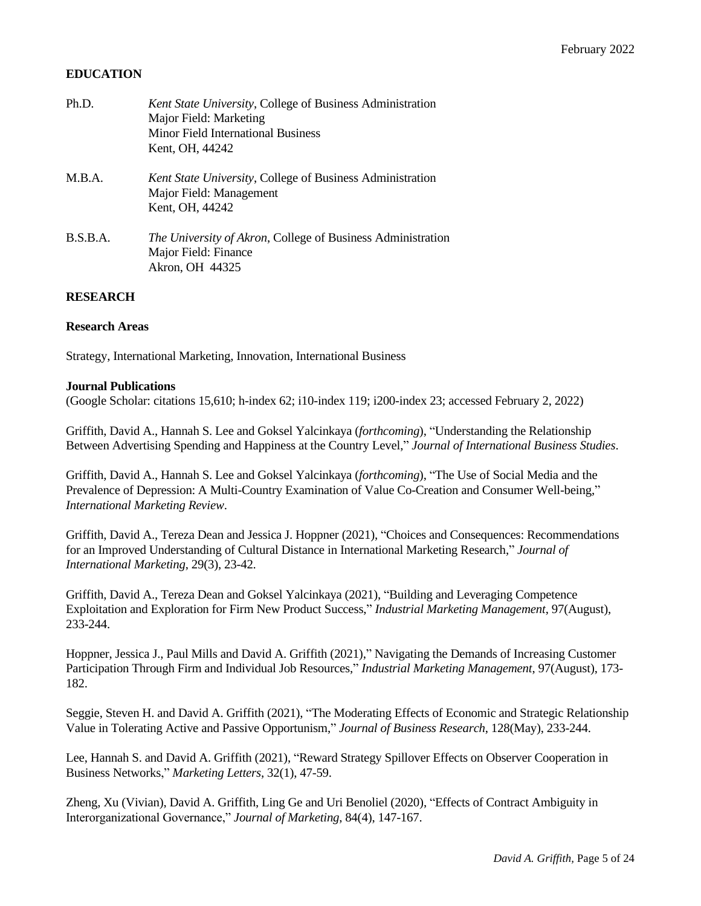### **EDUCATION**

| Ph.D.    | Kent State University, College of Business Administration   |
|----------|-------------------------------------------------------------|
|          | Major Field: Marketing                                      |
|          | <b>Minor Field International Business</b>                   |
|          | Kent, OH, 44242                                             |
| M.B.A.   | Kent State University, College of Business Administration   |
|          | Major Field: Management                                     |
|          | Kent, OH, 44242                                             |
| B.S.B.A. | The University of Akron, College of Business Administration |
|          | Major Field: Finance                                        |
|          | Akron, OH 44325                                             |
|          |                                                             |

### **RESEARCH**

### **Research Areas**

Strategy, International Marketing, Innovation, International Business

#### **Journal Publications**

(Google Scholar: citations 15,610; h-index 62; i10-index 119; i200-index 23; accessed February 2, 2022)

Griffith, David A., Hannah S. Lee and Goksel Yalcinkaya (*forthcoming*), "Understanding the Relationship Between Advertising Spending and Happiness at the Country Level," *Journal of International Business Studies*.

Griffith, David A., Hannah S. Lee and Goksel Yalcinkaya (*forthcoming*), "The Use of Social Media and the Prevalence of Depression: A Multi-Country Examination of Value Co-Creation and Consumer Well-being," *International Marketing Review*.

Griffith, David A., Tereza Dean and Jessica J. Hoppner (2021), "Choices and Consequences: Recommendations for an Improved Understanding of Cultural Distance in International Marketing Research," *Journal of International Marketing*, 29(3), 23-42.

Griffith, David A., Tereza Dean and Goksel Yalcinkaya (2021), "Building and Leveraging Competence Exploitation and Exploration for Firm New Product Success," *Industrial Marketing Management*, 97(August), 233-244.

Hoppner, Jessica J., Paul Mills and David A. Griffith (2021)," Navigating the Demands of Increasing Customer Participation Through Firm and Individual Job Resources," *Industrial Marketing Management*, 97(August), 173- 182.

Seggie, Steven H. and David A. Griffith (2021), "The Moderating Effects of Economic and Strategic Relationship Value in Tolerating Active and Passive Opportunism," *Journal of Business Research*, 128(May), 233-244.

Lee, Hannah S. and David A. Griffith (2021), "Reward Strategy Spillover Effects on Observer Cooperation in Business Networks," *Marketing Letters*, 32(1), 47-59.

Zheng, Xu (Vivian), David A. Griffith, Ling Ge and Uri Benoliel (2020), "Effects of Contract Ambiguity in Interorganizational Governance," *Journal of Marketing*, 84(4), 147-167.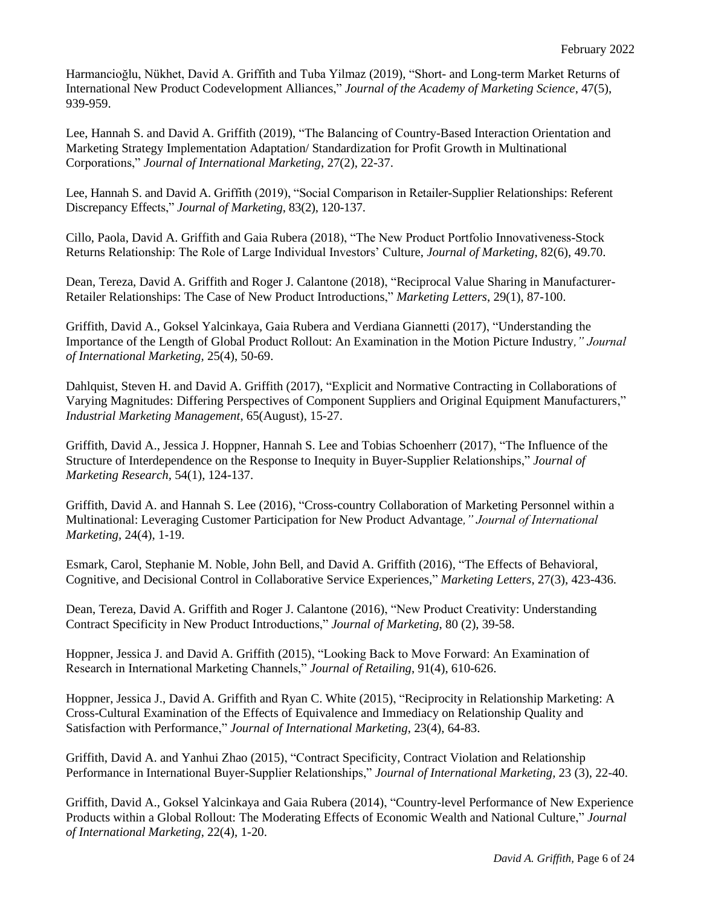Harmancioğlu, Nükhet, David A. Griffith and Tuba Yilmaz (2019), "Short- and Long-term Market Returns of International New Product Codevelopment Alliances," *Journal of the Academy of Marketing Science*, 47(5), 939-959.

Lee, Hannah S. and David A. Griffith (2019), "The Balancing of Country-Based Interaction Orientation and Marketing Strategy Implementation Adaptation/ Standardization for Profit Growth in Multinational Corporations," *Journal of International Marketing*, 27(2), 22-37.

Lee, Hannah S. and David A. Griffith (2019), "Social Comparison in Retailer-Supplier Relationships: Referent Discrepancy Effects," *Journal of Marketing*, 83(2), 120-137.

Cillo, Paola, David A. Griffith and Gaia Rubera (2018), "The New Product Portfolio Innovativeness-Stock Returns Relationship: The Role of Large Individual Investors' Culture, *Journal of Marketing*, 82(6), 49.70.

Dean, Tereza, David A. Griffith and Roger J. Calantone (2018), "Reciprocal Value Sharing in Manufacturer-Retailer Relationships: The Case of New Product Introductions," *Marketing Letters*, 29(1), 87-100.

Griffith, David A., Goksel Yalcinkaya, Gaia Rubera and Verdiana Giannetti (2017), "Understanding the Importance of the Length of Global Product Rollout: An Examination in the Motion Picture Industry*," Journal of International Marketing,* 25(4), 50-69.

Dahlquist, Steven H. and David A. Griffith (2017), "Explicit and Normative Contracting in Collaborations of Varying Magnitudes: Differing Perspectives of Component Suppliers and Original Equipment Manufacturers," *Industrial Marketing Management*, 65(August), 15-27.

Griffith, David A., Jessica J. Hoppner, Hannah S. Lee and Tobias Schoenherr (2017), "The Influence of the Structure of Interdependence on the Response to Inequity in Buyer-Supplier Relationships," *Journal of Marketing Research,* 54(1), 124-137.

Griffith, David A. and Hannah S. Lee (2016), "Cross-country Collaboration of Marketing Personnel within a Multinational: Leveraging Customer Participation for New Product Advantage*," Journal of International Marketing,* 24(4), 1-19.

Esmark, Carol, Stephanie M. Noble, John Bell, and David A. Griffith (2016), "The Effects of Behavioral, Cognitive, and Decisional Control in Collaborative Service Experiences," *Marketing Letters*, 27(3), 423-436.

Dean, Tereza, David A. Griffith and Roger J. Calantone (2016), "New Product Creativity: Understanding Contract Specificity in New Product Introductions," *Journal of Marketing*, 80 (2), 39-58.

Hoppner, Jessica J. and David A. Griffith (2015), "Looking Back to Move Forward: An Examination of Research in International Marketing Channels," *Journal of Retailing*, 91(4), 610-626.

Hoppner, Jessica J., David A. Griffith and Ryan C. White (2015), "Reciprocity in Relationship Marketing: A Cross-Cultural Examination of the Effects of Equivalence and Immediacy on Relationship Quality and Satisfaction with Performance," *Journal of International Marketing*, 23(4), 64-83.

Griffith, David A. and Yanhui Zhao (2015), "Contract Specificity, Contract Violation and Relationship Performance in International Buyer-Supplier Relationships," *Journal of International Marketing,* 23 (3), 22-40.

Griffith, David A., Goksel Yalcinkaya and Gaia Rubera (2014), "Country-level Performance of New Experience Products within a Global Rollout: The Moderating Effects of Economic Wealth and National Culture," *Journal of International Marketing*, 22(4), 1-20.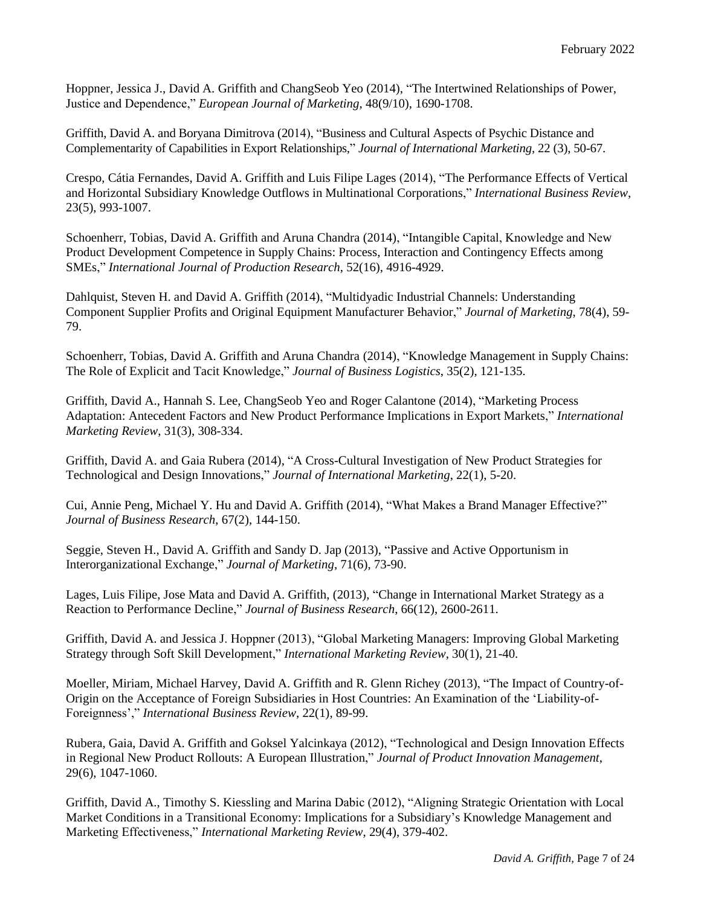Hoppner, Jessica J., David A. Griffith and ChangSeob Yeo (2014), "The Intertwined Relationships of Power, Justice and Dependence," *European Journal of Marketing*, 48(9/10), 1690-1708.

Griffith, David A. and Boryana Dimitrova (2014), "Business and Cultural Aspects of Psychic Distance and Complementarity of Capabilities in Export Relationships," *Journal of International Marketing*, 22 (3), 50-67.

Crespo, Cátia Fernandes, David A. Griffith and Luis Filipe Lages (2014), "The Performance Effects of Vertical and Horizontal Subsidiary Knowledge Outflows in Multinational Corporations," *International Business Review*, 23(5), 993-1007.

Schoenherr, Tobias, David A. Griffith and Aruna Chandra (2014), "Intangible Capital, Knowledge and New Product Development Competence in Supply Chains: Process, Interaction and Contingency Effects among SMEs," *International Journal of Production Research*, 52(16), 4916-4929.

Dahlquist, Steven H. and David A. Griffith (2014), "Multidyadic Industrial Channels: Understanding Component Supplier Profits and Original Equipment Manufacturer Behavior," *Journal of Marketing*, 78(4), 59- 79.

Schoenherr, Tobias, David A. Griffith and Aruna Chandra (2014), "Knowledge Management in Supply Chains: The Role of Explicit and Tacit Knowledge," *Journal of Business Logistics*, 35(2), 121-135.

Griffith, David A., Hannah S. Lee, ChangSeob Yeo and Roger Calantone (2014), "Marketing Process Adaptation: Antecedent Factors and New Product Performance Implications in Export Markets," *International Marketing Review*, 31(3), 308-334.

Griffith, David A. and Gaia Rubera (2014), "A Cross-Cultural Investigation of New Product Strategies for Technological and Design Innovations," *Journal of International Marketing*, 22(1), 5-20.

Cui, Annie Peng, Michael Y. Hu and David A. Griffith (2014), "What Makes a Brand Manager Effective?" *Journal of Business Research*, 67(2), 144-150.

Seggie, Steven H., David A. Griffith and Sandy D. Jap (2013), "Passive and Active Opportunism in Interorganizational Exchange," *Journal of Marketing*, 71(6), 73-90.

Lages, Luis Filipe, Jose Mata and David A. Griffith, (2013), "Change in International Market Strategy as a Reaction to Performance Decline," *Journal of Business Research*, 66(12), 2600-2611.

Griffith, David A. and Jessica J. Hoppner (2013), "Global Marketing Managers: Improving Global Marketing Strategy through Soft Skill Development," *International Marketing Review*, 30(1), 21-40.

Moeller, Miriam, Michael Harvey, David A. Griffith and R. Glenn Richey (2013), "The Impact of Country-of-Origin on the Acceptance of Foreign Subsidiaries in Host Countries: An Examination of the 'Liability-of-Foreignness'," *International Business Review*, 22(1), 89-99.

Rubera, Gaia, David A. Griffith and Goksel Yalcinkaya (2012), "Technological and Design Innovation Effects in Regional New Product Rollouts: A European Illustration," *Journal of Product Innovation Management*, 29(6), 1047-1060.

Griffith, David A., Timothy S. Kiessling and Marina Dabic (2012), "Aligning Strategic Orientation with Local Market Conditions in a Transitional Economy: Implications for a Subsidiary's Knowledge Management and Marketing Effectiveness," *International Marketing Review*, 29(4), 379-402.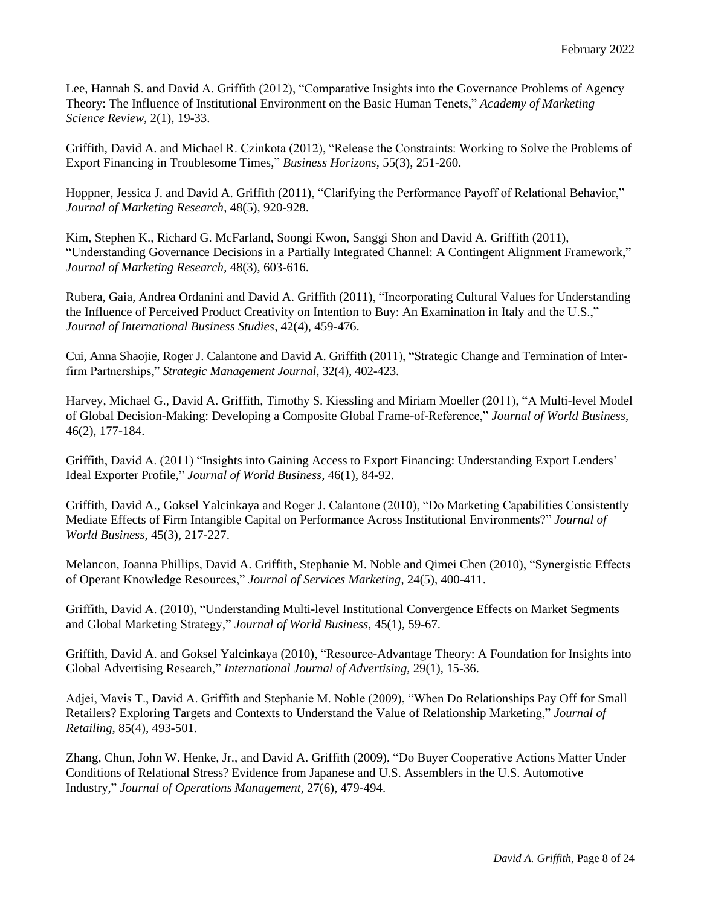Lee, Hannah S. and David A. Griffith (2012), "Comparative Insights into the Governance Problems of Agency Theory: The Influence of Institutional Environment on the Basic Human Tenets," *Academy of Marketing Science Review*, 2(1), 19-33.

Griffith, David A. and Michael R. Czinkota (2012), "Release the Constraints: Working to Solve the Problems of Export Financing in Troublesome Times," *Business Horizons*, 55(3), 251-260.

Hoppner, Jessica J. and David A. Griffith (2011), "Clarifying the Performance Payoff of Relational Behavior," *Journal of Marketing Research*, 48(5), 920-928.

Kim, Stephen K., Richard G. McFarland, Soongi Kwon, Sanggi Shon and David A. Griffith (2011), "Understanding Governance Decisions in a Partially Integrated Channel: A Contingent Alignment Framework," *Journal of Marketing Research*, 48(3), 603-616.

Rubera, Gaia, Andrea Ordanini and David A. Griffith (2011), "Incorporating Cultural Values for Understanding the Influence of Perceived Product Creativity on Intention to Buy: An Examination in Italy and the U.S.," *Journal of International Business Studies*, 42(4), 459-476.

Cui, Anna Shaojie, Roger J. Calantone and David A. Griffith (2011), "Strategic Change and Termination of Interfirm Partnerships," *Strategic Management Journal*, 32(4), 402-423.

Harvey, Michael G., David A. Griffith, Timothy S. Kiessling and Miriam Moeller (2011), "A Multi-level Model of Global Decision-Making: Developing a Composite Global Frame-of-Reference," *Journal of World Business*, 46(2), 177-184.

Griffith, David A. (2011) "Insights into Gaining Access to Export Financing: Understanding Export Lenders' Ideal Exporter Profile," *Journal of World Business,* 46(1), 84-92.

Griffith, David A., Goksel Yalcinkaya and Roger J. Calantone (2010), "Do Marketing Capabilities Consistently Mediate Effects of Firm Intangible Capital on Performance Across Institutional Environments?" *Journal of World Business*, 45(3), 217-227.

Melancon, Joanna Phillips, David A. Griffith, Stephanie M. Noble and Qimei Chen (2010), "Synergistic Effects of Operant Knowledge Resources," *Journal of Services Marketing*, 24(5), 400-411.

Griffith, David A. (2010), "Understanding Multi-level Institutional Convergence Effects on Market Segments and Global Marketing Strategy," *Journal of World Business*, 45(1), 59-67.

Griffith, David A. and Goksel Yalcinkaya (2010), "Resource-Advantage Theory: A Foundation for Insights into Global Advertising Research," *International Journal of Advertising*, 29(1), 15-36.

Adjei, Mavis T., David A. Griffith and Stephanie M. Noble (2009), "When Do Relationships Pay Off for Small Retailers? Exploring Targets and Contexts to Understand the Value of Relationship Marketing," *Journal of Retailing*, 85(4), 493-501.

Zhang, Chun, John W. Henke, Jr., and David A. Griffith (2009), "Do Buyer Cooperative Actions Matter Under Conditions of Relational Stress? Evidence from Japanese and U.S. Assemblers in the U.S. Automotive Industry," *Journal of Operations Management*, 27(6), 479-494.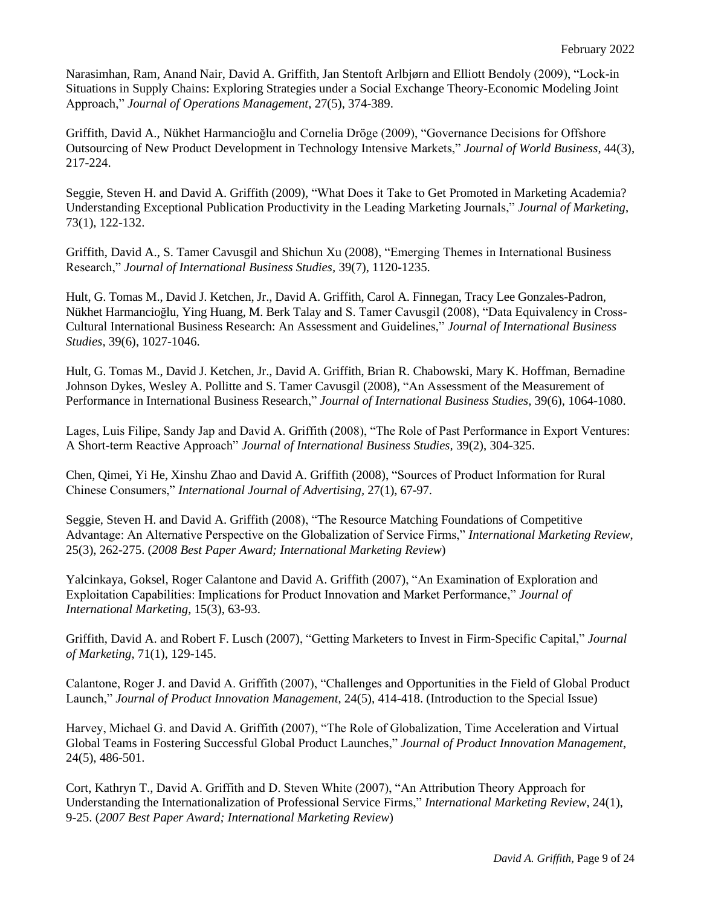Narasimhan, Ram, Anand Nair, David A. Griffith, Jan Stentoft Arlbjørn and Elliott Bendoly (2009), "Lock-in Situations in Supply Chains: Exploring Strategies under a Social Exchange Theory-Economic Modeling Joint Approach," *Journal of Operations Management*, 27(5), 374-389.

Griffith, David A., Nükhet Harmancioğlu and Cornelia Dröge (2009), "Governance Decisions for Offshore Outsourcing of New Product Development in Technology Intensive Markets," *Journal of World Business*, 44(3), 217-224.

Seggie, Steven H. and David A. Griffith (2009), "What Does it Take to Get Promoted in Marketing Academia? Understanding Exceptional Publication Productivity in the Leading Marketing Journals," *Journal of Marketing*, 73(1), 122-132.

Griffith, David A., S. Tamer Cavusgil and Shichun Xu (2008), "Emerging Themes in International Business Research," *Journal of International Business Studies,* 39(7), 1120-1235.

Hult, G. Tomas M., David J. Ketchen, Jr., David A. Griffith, Carol A. Finnegan, Tracy Lee Gonzales-Padron, Nükhet Harmancioğlu, Ying Huang, M. Berk Talay and S. Tamer Cavusgil (2008), "Data Equivalency in Cross-Cultural International Business Research: An Assessment and Guidelines," *Journal of International Business Studies,* 39(6), 1027-1046.

Hult, G. Tomas M., David J. Ketchen, Jr., David A. Griffith, Brian R. Chabowski, Mary K. Hoffman, Bernadine Johnson Dykes, Wesley A. Pollitte and S. Tamer Cavusgil (2008), "An Assessment of the Measurement of Performance in International Business Research," *Journal of International Business Studies,* 39(6), 1064-1080.

Lages, Luis Filipe, Sandy Jap and David A. Griffith (2008), "The Role of Past Performance in Export Ventures: A Short-term Reactive Approach" *Journal of International Business Studies,* 39(2), 304-325.

Chen, Qimei, Yi He, Xinshu Zhao and David A. Griffith (2008), "Sources of Product Information for Rural Chinese Consumers," *International Journal of Advertising,* 27(1), 67-97.

Seggie, Steven H. and David A. Griffith (2008), "The Resource Matching Foundations of Competitive Advantage: An Alternative Perspective on the Globalization of Service Firms," *International Marketing Review*, 25(3), 262-275. (*2008 Best Paper Award; International Marketing Review*)

Yalcinkaya, Goksel, Roger Calantone and David A. Griffith (2007), "An Examination of Exploration and Exploitation Capabilities: Implications for Product Innovation and Market Performance," *Journal of International Marketing*, 15(3), 63-93.

Griffith, David A. and Robert F. Lusch (2007), "Getting Marketers to Invest in Firm-Specific Capital," *Journal of Marketing*, 71(1), 129-145.

Calantone, Roger J. and David A. Griffith (2007), "Challenges and Opportunities in the Field of Global Product Launch," *Journal of Product Innovation Management*, 24(5), 414-418. (Introduction to the Special Issue)

Harvey, Michael G. and David A. Griffith (2007), "The Role of Globalization, Time Acceleration and Virtual Global Teams in Fostering Successful Global Product Launches," *Journal of Product Innovation Management*, 24(5), 486-501.

Cort, Kathryn T., David A. Griffith and D. Steven White (2007), "An Attribution Theory Approach for Understanding the Internationalization of Professional Service Firms," *International Marketing Review*, 24(1), 9-25. (*2007 Best Paper Award; International Marketing Review*)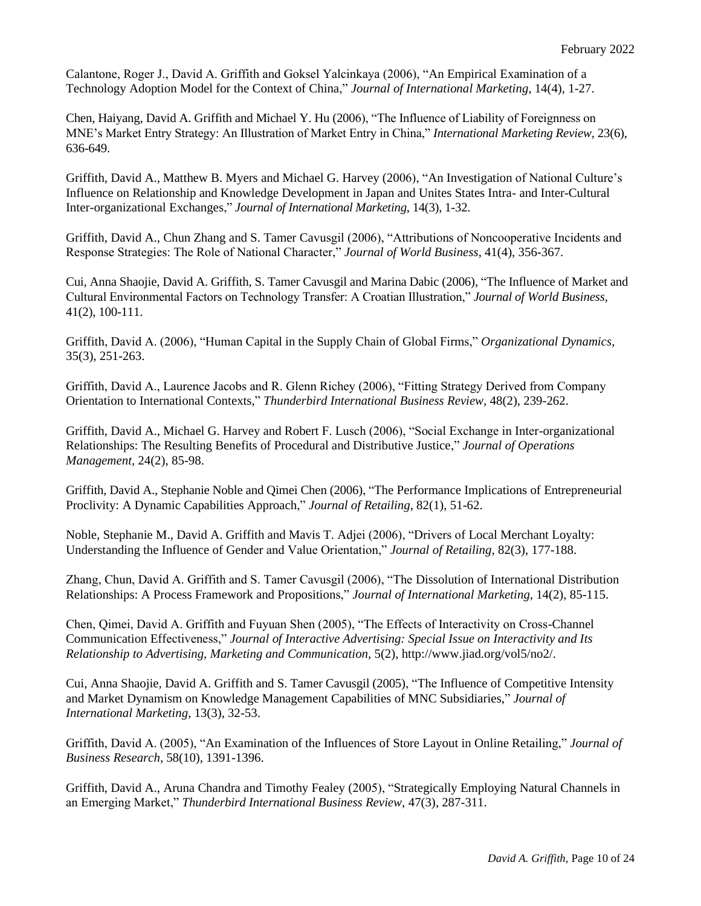Calantone, Roger J., David A. Griffith and Goksel Yalcinkaya (2006), "An Empirical Examination of a Technology Adoption Model for the Context of China," *Journal of International Marketing*, 14(4), 1-27.

Chen, Haiyang, David A. Griffith and Michael Y. Hu (2006), "The Influence of Liability of Foreignness on MNE's Market Entry Strategy: An Illustration of Market Entry in China," *International Marketing Review,* 23(6), 636-649.

Griffith, David A., Matthew B. Myers and Michael G. Harvey (2006), "An Investigation of National Culture's Influence on Relationship and Knowledge Development in Japan and Unites States Intra- and Inter-Cultural Inter-organizational Exchanges," *Journal of International Marketing*, 14(3), 1-32.

Griffith, David A., Chun Zhang and S. Tamer Cavusgil (2006), "Attributions of Noncooperative Incidents and Response Strategies: The Role of National Character," *Journal of World Business*, 41(4), 356-367.

Cui, Anna Shaojie, David A. Griffith, S. Tamer Cavusgil and Marina Dabic (2006), "The Influence of Market and Cultural Environmental Factors on Technology Transfer: A Croatian Illustration," *Journal of World Business,*  41(2), 100-111.

Griffith, David A. (2006), "Human Capital in the Supply Chain of Global Firms," *Organizational Dynamics*, 35(3), 251-263.

Griffith, David A., Laurence Jacobs and R. Glenn Richey (2006), "Fitting Strategy Derived from Company Orientation to International Contexts," *Thunderbird International Business Review,* 48(2), 239-262.

Griffith, David A., Michael G. Harvey and Robert F. Lusch (2006), "Social Exchange in Inter-organizational Relationships: The Resulting Benefits of Procedural and Distributive Justice," *Journal of Operations Management,* 24(2), 85-98.

Griffith, David A., Stephanie Noble and Qimei Chen (2006), "The Performance Implications of Entrepreneurial Proclivity: A Dynamic Capabilities Approach," *Journal of Retailing*, 82(1), 51-62.

Noble, Stephanie M., David A. Griffith and Mavis T. Adjei (2006), "Drivers of Local Merchant Loyalty: Understanding the Influence of Gender and Value Orientation," *Journal of Retailing,* 82(3), 177-188.

Zhang, Chun, David A. Griffith and S. Tamer Cavusgil (2006), "The Dissolution of International Distribution Relationships: A Process Framework and Propositions," *Journal of International Marketing,* 14(2), 85-115.

Chen, Qimei, David A. Griffith and Fuyuan Shen (2005), "The Effects of Interactivity on Cross-Channel Communication Effectiveness," *Journal of Interactive Advertising: Special Issue on Interactivity and Its Relationship to Advertising, Marketing and Communication,* 5(2), http://www.jiad.org/vol5/no2/.

Cui, Anna Shaojie, David A. Griffith and S. Tamer Cavusgil (2005), "The Influence of Competitive Intensity and Market Dynamism on Knowledge Management Capabilities of MNC Subsidiaries," *Journal of International Marketing*, 13(3), 32-53.

Griffith, David A. (2005), "An Examination of the Influences of Store Layout in Online Retailing," *Journal of Business Research,* 58(10), 1391-1396.

Griffith, David A., Aruna Chandra and Timothy Fealey (2005), "Strategically Employing Natural Channels in an Emerging Market," *Thunderbird International Business Review,* 47(3), 287-311.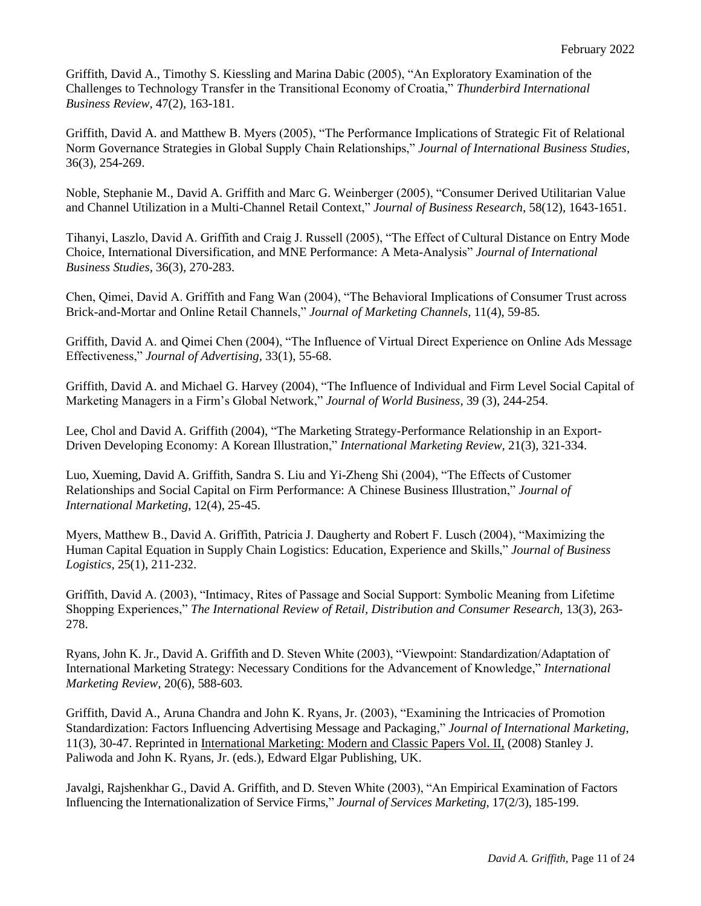Griffith, David A., Timothy S. Kiessling and Marina Dabic (2005), "An Exploratory Examination of the Challenges to Technology Transfer in the Transitional Economy of Croatia," *Thunderbird International Business Review,* 47(2), 163-181.

Griffith, David A. and Matthew B. Myers (2005), "The Performance Implications of Strategic Fit of Relational Norm Governance Strategies in Global Supply Chain Relationships," *Journal of International Business Studies*, 36(3), 254-269.

Noble, Stephanie M., David A. Griffith and Marc G. Weinberger (2005), "Consumer Derived Utilitarian Value and Channel Utilization in a Multi-Channel Retail Context," *Journal of Business Research,* 58(12), 1643-1651.

Tihanyi, Laszlo, David A. Griffith and Craig J. Russell (2005), "The Effect of Cultural Distance on Entry Mode Choice, International Diversification, and MNE Performance: A Meta-Analysis" *Journal of International Business Studies*, 36(3), 270-283.

Chen, Qimei, David A. Griffith and Fang Wan (2004), "The Behavioral Implications of Consumer Trust across Brick-and-Mortar and Online Retail Channels," *Journal of Marketing Channels,* 11(4), 59-85*.*

Griffith, David A. and Qimei Chen (2004), "The Influence of Virtual Direct Experience on Online Ads Message Effectiveness," *Journal of Advertising,* 33(1), 55-68.

Griffith, David A. and Michael G. Harvey (2004), "The Influence of Individual and Firm Level Social Capital of Marketing Managers in a Firm's Global Network," *Journal of World Business*, 39 (3), 244-254.

Lee, Chol and David A. Griffith (2004), "The Marketing Strategy-Performance Relationship in an Export-Driven Developing Economy: A Korean Illustration," *International Marketing Review,* 21(3), 321-334.

Luo, Xueming, David A. Griffith, Sandra S. Liu and Yi-Zheng Shi (2004), "The Effects of Customer Relationships and Social Capital on Firm Performance: A Chinese Business Illustration," *Journal of International Marketing*, 12(4), 25-45.

Myers, Matthew B., David A. Griffith, Patricia J. Daugherty and Robert F. Lusch (2004), "Maximizing the Human Capital Equation in Supply Chain Logistics: Education, Experience and Skills," *Journal of Business Logistics,* 25(1), 211-232.

Griffith, David A. (2003), "Intimacy, Rites of Passage and Social Support: Symbolic Meaning from Lifetime Shopping Experiences," *The International Review of Retail, Distribution and Consumer Research,* 13(3), 263- 278.

Ryans, John K. Jr., David A. Griffith and D. Steven White (2003), "Viewpoint: Standardization/Adaptation of International Marketing Strategy: Necessary Conditions for the Advancement of Knowledge," *International Marketing Review,* 20(6), 588-603*.*

Griffith, David A., Aruna Chandra and John K. Ryans, Jr. (2003), "Examining the Intricacies of Promotion Standardization: Factors Influencing Advertising Message and Packaging," *Journal of International Marketing*, 11(3), 30-47. Reprinted in International Marketing: Modern and Classic Papers Vol. II, (2008) Stanley J. Paliwoda and John K. Ryans, Jr. (eds.), Edward Elgar Publishing, UK.

Javalgi, Rajshenkhar G., David A. Griffith, and D. Steven White (2003), "An Empirical Examination of Factors Influencing the Internationalization of Service Firms," *Journal of Services Marketing*, 17(2/3), 185-199.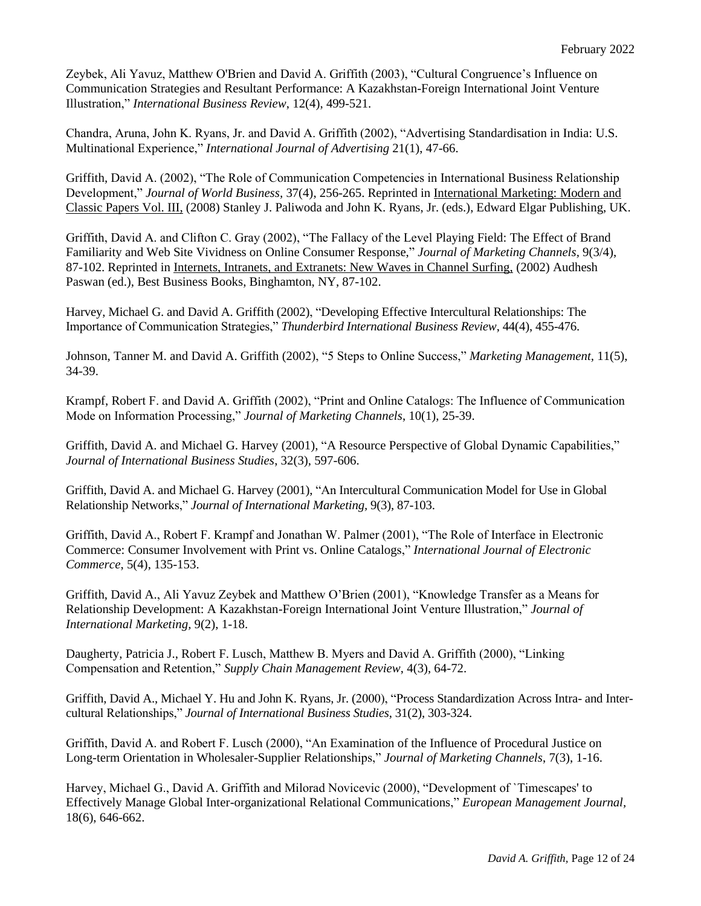Zeybek, Ali Yavuz, Matthew O'Brien and David A. Griffith (2003), "Cultural Congruence's Influence on Communication Strategies and Resultant Performance: A Kazakhstan-Foreign International Joint Venture Illustration," *International Business Review*, 12(4), 499-521.

Chandra, Aruna, John K. Ryans, Jr. and David A. Griffith (2002), "Advertising Standardisation in India: U.S. Multinational Experience," *International Journal of Advertising* 21(1), 47-66.

Griffith, David A. (2002), "The Role of Communication Competencies in International Business Relationship Development," *Journal of World Business,* 37(4), 256-265. Reprinted in International Marketing: Modern and Classic Papers Vol. III, (2008) Stanley J. Paliwoda and John K. Ryans, Jr. (eds.), Edward Elgar Publishing, UK.

Griffith, David A. and Clifton C. Gray (2002), "The Fallacy of the Level Playing Field: The Effect of Brand Familiarity and Web Site Vividness on Online Consumer Response," *Journal of Marketing Channels,* 9(3/4), 87-102. Reprinted in Internets, Intranets, and Extranets: New Waves in Channel Surfing, (2002) Audhesh Paswan (ed.), Best Business Books, Binghamton, NY, 87-102.

Harvey, Michael G. and David A. Griffith (2002), "Developing Effective Intercultural Relationships: The Importance of Communication Strategies," *Thunderbird International Business Review*, 44(4), 455-476.

Johnson, Tanner M. and David A. Griffith (2002), "5 Steps to Online Success," *Marketing Management,* 11(5), 34-39.

Krampf, Robert F. and David A. Griffith (2002), "Print and Online Catalogs: The Influence of Communication Mode on Information Processing," *Journal of Marketing Channels*, 10(1), 25-39.

Griffith, David A. and Michael G. Harvey (2001), "A Resource Perspective of Global Dynamic Capabilities," *Journal of International Business Studies*, 32(3), 597-606.

Griffith, David A. and Michael G. Harvey (2001), "An Intercultural Communication Model for Use in Global Relationship Networks," *Journal of International Marketing,* 9(3), 87-103.

Griffith, David A., Robert F. Krampf and Jonathan W. Palmer (2001), "The Role of Interface in Electronic Commerce: Consumer Involvement with Print vs. Online Catalogs," *International Journal of Electronic Commerce*, 5(4), 135-153.

Griffith, David A., Ali Yavuz Zeybek and Matthew O'Brien (2001), "Knowledge Transfer as a Means for Relationship Development: A Kazakhstan-Foreign International Joint Venture Illustration," *Journal of International Marketing,* 9(2), 1-18.

Daugherty, Patricia J., Robert F. Lusch, Matthew B. Myers and David A. Griffith (2000), "Linking Compensation and Retention," *Supply Chain Management Review*, 4(3), 64-72.

Griffith, David A., Michael Y. Hu and John K. Ryans, Jr. (2000), "Process Standardization Across Intra- and Intercultural Relationships," *Journal of International Business Studies*, 31(2), 303-324.

Griffith, David A. and Robert F. Lusch (2000), "An Examination of the Influence of Procedural Justice on Long-term Orientation in Wholesaler-Supplier Relationships," *Journal of Marketing Channels*, 7(3), 1-16.

Harvey, Michael G., David A. Griffith and Milorad Novicevic (2000), "Development of `Timescapes' to Effectively Manage Global Inter-organizational Relational Communications," *European Management Journal,*  18(6), 646-662.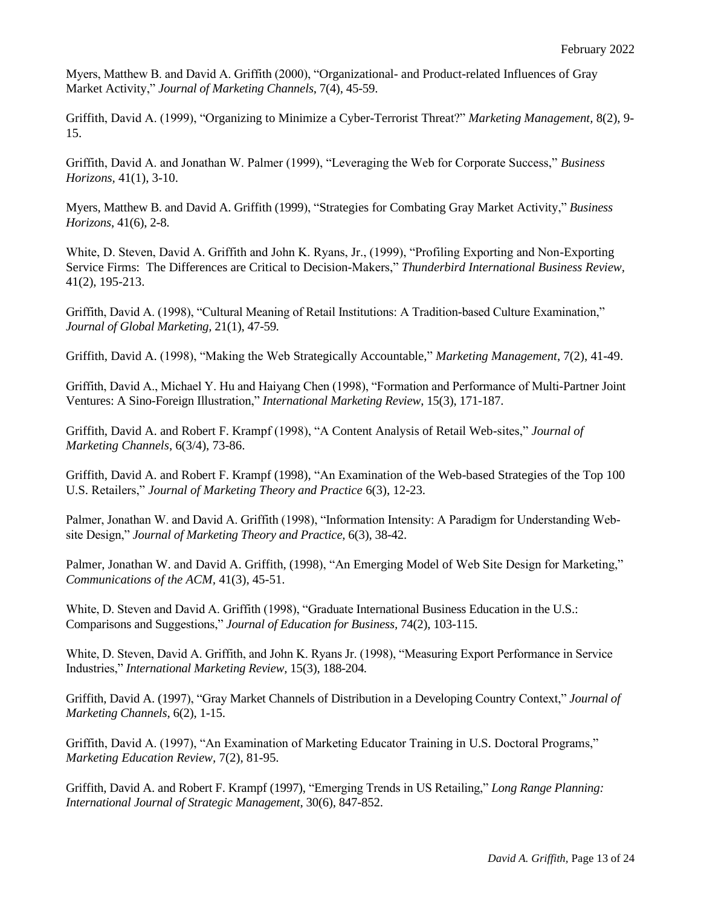Myers, Matthew B. and David A. Griffith (2000), "Organizational- and Product-related Influences of Gray Market Activity," *Journal of Marketing Channels*, 7(4), 45-59.

Griffith, David A. (1999), "Organizing to Minimize a Cyber-Terrorist Threat?" *Marketing Management,* 8(2), 9- 15.

Griffith, David A. and Jonathan W. Palmer (1999), "Leveraging the Web for Corporate Success," *Business Horizons,* 41(1), 3-10.

Myers, Matthew B. and David A. Griffith (1999), "Strategies for Combating Gray Market Activity," *Business Horizons*, 41(6), 2-8.

White, D. Steven, David A. Griffith and John K. Ryans, Jr., (1999), "Profiling Exporting and Non-Exporting Service Firms: The Differences are Critical to Decision-Makers," *Thunderbird International Business Review,*  41(2), 195-213.

Griffith, David A. (1998), "Cultural Meaning of Retail Institutions: A Tradition-based Culture Examination," *Journal of Global Marketing,* 21(1), 47-59*.*

Griffith, David A. (1998), "Making the Web Strategically Accountable," *Marketing Management*, 7(2), 41-49.

Griffith, David A., Michael Y. Hu and Haiyang Chen (1998), "Formation and Performance of Multi-Partner Joint Ventures: A Sino-Foreign Illustration," *International Marketing Review*, 15(3), 171-187.

Griffith, David A. and Robert F. Krampf (1998), "A Content Analysis of Retail Web-sites," *Journal of Marketing Channels*, 6(3/4), 73-86.

Griffith, David A. and Robert F. Krampf (1998), "An Examination of the Web-based Strategies of the Top 100 U.S. Retailers," *Journal of Marketing Theory and Practice* 6(3), 12-23.

Palmer, Jonathan W. and David A. Griffith (1998), "Information Intensity: A Paradigm for Understanding Website Design," *Journal of Marketing Theory and Practice*, 6(3), 38-42.

Palmer, Jonathan W. and David A. Griffith, (1998), "An Emerging Model of Web Site Design for Marketing," *Communications of the ACM,* 41(3), 45-51.

White, D. Steven and David A. Griffith (1998), "Graduate International Business Education in the U.S.: Comparisons and Suggestions," *Journal of Education for Business,* 74(2), 103-115.

White, D. Steven, David A. Griffith, and John K. Ryans Jr. (1998), "Measuring Export Performance in Service Industries," *International Marketing Review,* 15(3), 188-204*.*

Griffith, David A. (1997), "Gray Market Channels of Distribution in a Developing Country Context," *Journal of Marketing Channels*, 6(2), 1-15.

Griffith, David A. (1997), "An Examination of Marketing Educator Training in U.S. Doctoral Programs," *Marketing Education Review,* 7(2), 81-95.

Griffith, David A. and Robert F. Krampf (1997), "Emerging Trends in US Retailing," *Long Range Planning: International Journal of Strategic Management*, 30(6), 847-852.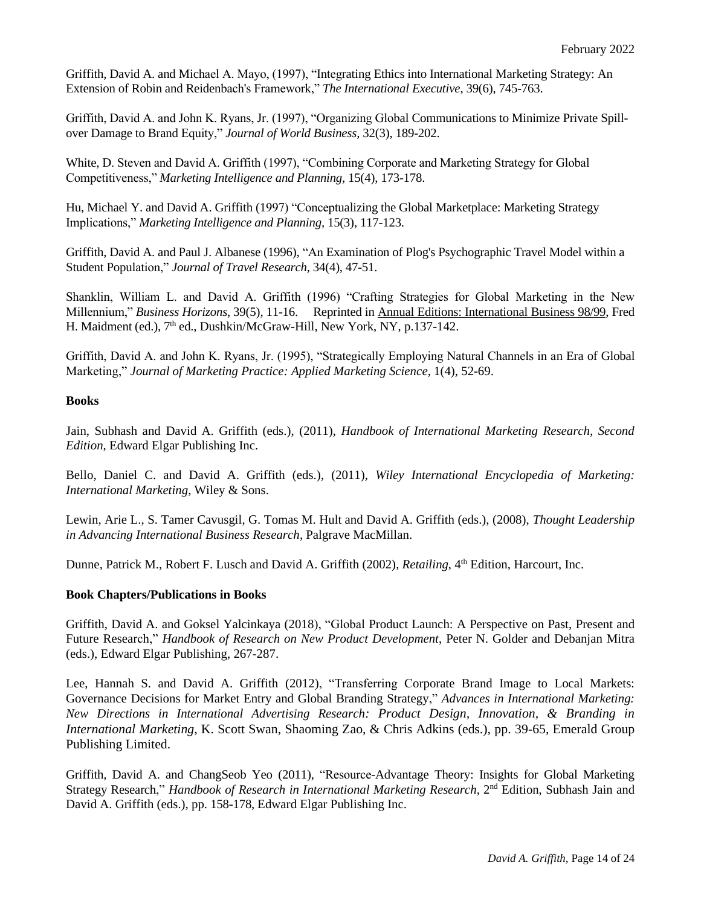Griffith, David A. and Michael A. Mayo, (1997), "Integrating Ethics into International Marketing Strategy: An Extension of Robin and Reidenbach's Framework," *The International Executive*, 39(6), 745-763.

Griffith, David A. and John K. Ryans, Jr. (1997), "Organizing Global Communications to Minimize Private Spillover Damage to Brand Equity," *Journal of World Business,* 32(3), 189-202.

White, D. Steven and David A. Griffith (1997), "Combining Corporate and Marketing Strategy for Global Competitiveness," *Marketing Intelligence and Planning,* 15(4), 173-178.

Hu, Michael Y. and David A. Griffith (1997) "Conceptualizing the Global Marketplace: Marketing Strategy Implications," *Marketing Intelligence and Planning,* 15(3), 117-123.

Griffith, David A. and Paul J. Albanese (1996), "An Examination of Plog's Psychographic Travel Model within a Student Population," *Journal of Travel Research*, 34(4), 47-51.

Shanklin, William L. and David A. Griffith (1996) "Crafting Strategies for Global Marketing in the New Millennium," *Business Horizons*, 39(5), 11-16. Reprinted in Annual Editions: International Business 98/99, Fred H. Maidment (ed.), 7<sup>th</sup> ed., Dushkin/McGraw-Hill, New York, NY, p.137-142.

Griffith, David A. and John K. Ryans, Jr. (1995), "Strategically Employing Natural Channels in an Era of Global Marketing," *Journal of Marketing Practice: Applied Marketing Science*, 1(4), 52-69.

### **Books**

Jain, Subhash and David A. Griffith (eds.), (2011), *Handbook of International Marketing Research, Second Edition*, Edward Elgar Publishing Inc.

Bello, Daniel C. and David A. Griffith (eds.), (2011), *Wiley International Encyclopedia of Marketing: International Marketing*, Wiley & Sons.

Lewin, Arie L., S. Tamer Cavusgil, G. Tomas M. Hult and David A. Griffith (eds.), (2008), *Thought Leadership in Advancing International Business Research*, Palgrave MacMillan.

Dunne, Patrick M., Robert F. Lusch and David A. Griffith (2002), *Retailing*, 4<sup>th</sup> Edition, Harcourt, Inc.

### **Book Chapters/Publications in Books**

Griffith, David A. and Goksel Yalcinkaya (2018), "Global Product Launch: A Perspective on Past, Present and Future Research," *Handbook of Research on New Product Development*, Peter N. Golder and Debanjan Mitra (eds.), Edward Elgar Publishing, 267-287.

Lee, Hannah S. and David A. Griffith (2012), "Transferring Corporate Brand Image to Local Markets: Governance Decisions for Market Entry and Global Branding Strategy," *Advances in International Marketing: New Directions in International Advertising Research: Product Design, Innovation, & Branding in International Marketing*, K. Scott Swan, Shaoming Zao, & Chris Adkins (eds.), pp. 39-65, Emerald Group Publishing Limited.

Griffith, David A. and ChangSeob Yeo (2011), "Resource-Advantage Theory: Insights for Global Marketing Strategy Research," *Handbook of Research in International Marketing Research*, 2nd Edition, Subhash Jain and David A. Griffith (eds.), pp. 158-178, Edward Elgar Publishing Inc.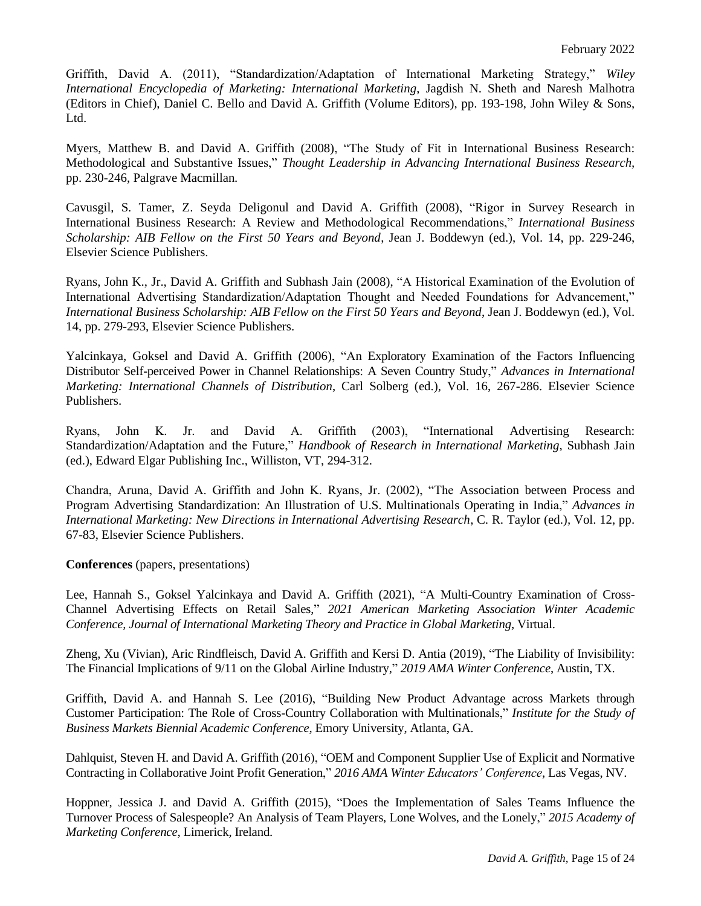Griffith, David A. (2011), "Standardization/Adaptation of International Marketing Strategy," *Wiley International Encyclopedia of Marketing: International Marketing*, Jagdish N. Sheth and Naresh Malhotra (Editors in Chief), Daniel C. Bello and David A. Griffith (Volume Editors), pp. 193-198, John Wiley & Sons, Ltd.

Myers, Matthew B. and David A. Griffith (2008), "The Study of Fit in International Business Research: Methodological and Substantive Issues," *Thought Leadership in Advancing International Business Research,* pp. 230-246, Palgrave Macmillan*.*

Cavusgil, S. Tamer, Z. Seyda Deligonul and David A. Griffith (2008), "Rigor in Survey Research in International Business Research: A Review and Methodological Recommendations," *International Business Scholarship: AIB Fellow on the First 50 Years and Beyond*, Jean J. Boddewyn (ed.), Vol. 14, pp. 229-246, Elsevier Science Publishers.

Ryans, John K., Jr., David A. Griffith and Subhash Jain (2008), "A Historical Examination of the Evolution of International Advertising Standardization/Adaptation Thought and Needed Foundations for Advancement," *International Business Scholarship: AIB Fellow on the First 50 Years and Beyond*, Jean J. Boddewyn (ed.), Vol. 14, pp. 279-293, Elsevier Science Publishers.

Yalcinkaya, Goksel and David A. Griffith (2006), "An Exploratory Examination of the Factors Influencing Distributor Self-perceived Power in Channel Relationships: A Seven Country Study," *Advances in International Marketing: International Channels of Distribution*, Carl Solberg (ed.), Vol. 16, 267-286. Elsevier Science Publishers.

Ryans, John K. Jr. and David A. Griffith (2003), "International Advertising Research: Standardization/Adaptation and the Future," *Handbook of Research in International Marketing*, Subhash Jain (ed.), Edward Elgar Publishing Inc., Williston, VT, 294-312.

Chandra, Aruna, David A. Griffith and John K. Ryans, Jr. (2002), "The Association between Process and Program Advertising Standardization: An Illustration of U.S. Multinationals Operating in India," *Advances in International Marketing: New Directions in International Advertising Research*, C. R. Taylor (ed.)*,* Vol. 12, pp. 67-83, Elsevier Science Publishers.

**Conferences** (papers, presentations)

Lee, Hannah S., Goksel Yalcinkaya and David A. Griffith (2021), "A Multi-Country Examination of Cross-Channel Advertising Effects on Retail Sales," *2021 American Marketing Association Winter Academic Conference, Journal of International Marketing Theory and Practice in Global Marketing*, Virtual.

Zheng, Xu (Vivian), Aric Rindfleisch, David A. Griffith and Kersi D. Antia (2019), "The Liability of Invisibility: The Financial Implications of 9/11 on the Global Airline Industry," *2019 AMA Winter Conference*, Austin, TX.

Griffith, David A. and Hannah S. Lee (2016), "Building New Product Advantage across Markets through Customer Participation: The Role of Cross-Country Collaboration with Multinationals," *Institute for the Study of Business Markets Biennial Academic Conference*, Emory University, Atlanta, GA.

Dahlquist, Steven H. and David A. Griffith (2016), "OEM and Component Supplier Use of Explicit and Normative Contracting in Collaborative Joint Profit Generation," *2016 AMA Winter Educators' Conference*, Las Vegas, NV.

Hoppner, Jessica J. and David A. Griffith (2015), "Does the Implementation of Sales Teams Influence the Turnover Process of Salespeople? An Analysis of Team Players, Lone Wolves, and the Lonely," *2015 Academy of Marketing Conference*, Limerick, Ireland.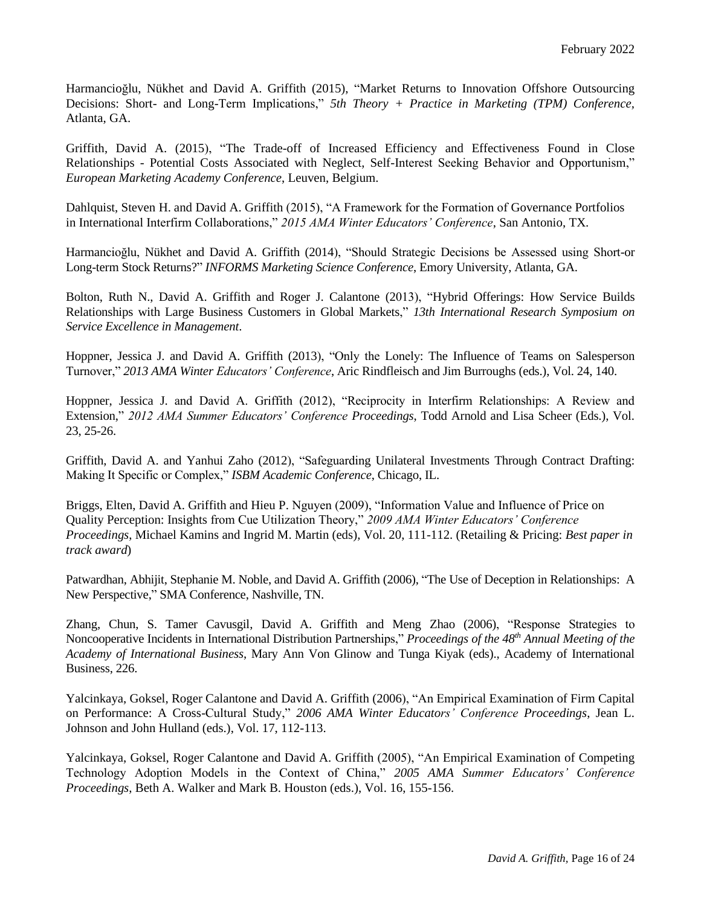Harmancioğlu, Nükhet and David A. Griffith (2015), "Market Returns to Innovation Offshore Outsourcing Decisions: Short- and Long-Term Implications," *5th Theory + Practice in Marketing (TPM) Conference,* Atlanta, GA.

Griffith, David A. (2015), "The Trade-off of Increased Efficiency and Effectiveness Found in Close Relationships - Potential Costs Associated with Neglect, Self-Interest Seeking Behavior and Opportunism," *European Marketing Academy Conference*, Leuven, Belgium.

Dahlquist, Steven H. and David A. Griffith (2015), "A Framework for the Formation of Governance Portfolios in International Interfirm Collaborations," *2015 AMA Winter Educators' Conference*, San Antonio, TX.

Harmancioğlu, Nükhet and David A. Griffith (2014), "Should Strategic Decisions be Assessed using Short-or Long-term Stock Returns?" *INFORMS Marketing Science Conference*, Emory University, Atlanta, GA.

Bolton, Ruth N., David A. Griffith and Roger J. Calantone (2013), "Hybrid Offerings: How Service Builds Relationships with Large Business Customers in Global Markets," *13th International Research Symposium on Service Excellence in Management*.

Hoppner, Jessica J. and David A. Griffith (2013), "Only the Lonely: The Influence of Teams on Salesperson Turnover," *2013 AMA Winter Educators' Conference*, Aric Rindfleisch and Jim Burroughs (eds.), Vol. 24, 140.

Hoppner, Jessica J. and David A. Griffith (2012), "Reciprocity in Interfirm Relationships: A Review and Extension," *2012 AMA Summer Educators' Conference Proceedings*, Todd Arnold and Lisa Scheer (Eds.), Vol. 23, 25-26.

Griffith, David A. and Yanhui Zaho (2012), "Safeguarding Unilateral Investments Through Contract Drafting: Making It Specific or Complex," *ISBM Academic Conference*, Chicago, IL.

Briggs, Elten, David A. Griffith and Hieu P. Nguyen (2009), "Information Value and Influence of Price on Quality Perception: Insights from Cue Utilization Theory," *2009 AMA Winter Educators' Conference Proceedings*, Michael Kamins and Ingrid M. Martin (eds), Vol. 20, 111-112. (Retailing & Pricing: *Best paper in track award*)

Patwardhan, Abhijit, Stephanie M. Noble, and David A. Griffith (2006), "The Use of Deception in Relationships: A New Perspective," SMA Conference, Nashville, TN.

Zhang, Chun, S. Tamer Cavusgil, David A. Griffith and Meng Zhao (2006), "Response Strategies to Noncooperative Incidents in International Distribution Partnerships," *Proceedings of the 48th Annual Meeting of the Academy of International Business*, Mary Ann Von Glinow and Tunga Kiyak (eds)., Academy of International Business, 226.

Yalcinkaya, Goksel, Roger Calantone and David A. Griffith (2006), "An Empirical Examination of Firm Capital on Performance: A Cross-Cultural Study," *2006 AMA Winter Educators' Conference Proceedings*, Jean L. Johnson and John Hulland (eds.), Vol. 17, 112-113.

Yalcinkaya, Goksel, Roger Calantone and David A. Griffith (2005), "An Empirical Examination of Competing Technology Adoption Models in the Context of China," *2005 AMA Summer Educators' Conference Proceedings*, Beth A. Walker and Mark B. Houston (eds.), Vol. 16, 155-156.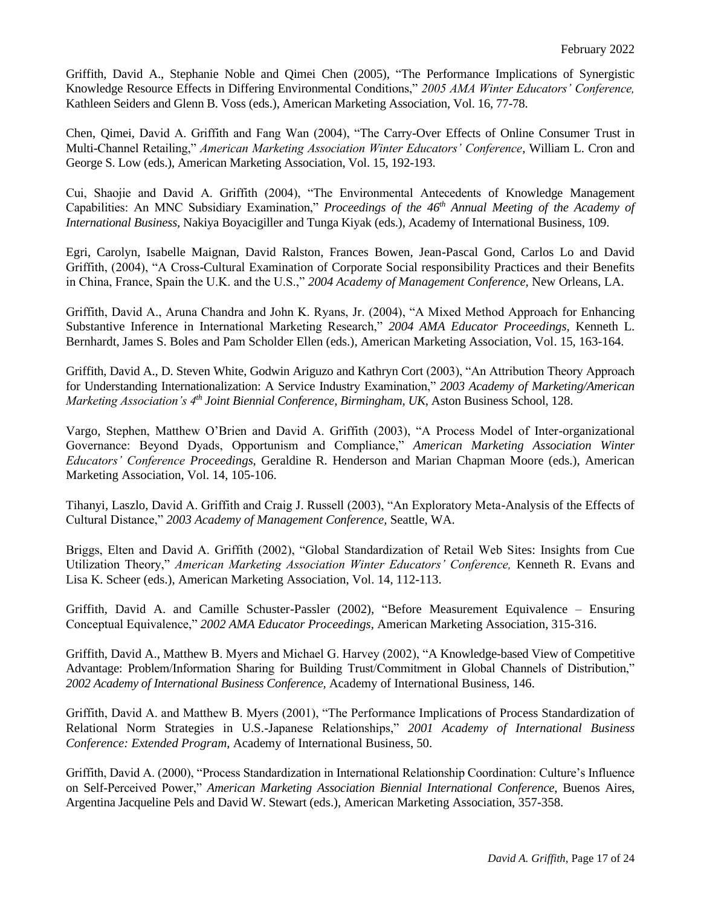Griffith, David A., Stephanie Noble and Qimei Chen (2005), "The Performance Implications of Synergistic Knowledge Resource Effects in Differing Environmental Conditions," *2005 AMA Winter Educators' Conference,*  Kathleen Seiders and Glenn B. Voss (eds.), American Marketing Association, Vol. 16, 77-78.

Chen, Qimei, David A. Griffith and Fang Wan (2004), "The Carry-Over Effects of Online Consumer Trust in Multi-Channel Retailing," *American Marketing Association Winter Educators' Conference*, William L. Cron and George S. Low (eds.), American Marketing Association, Vol. 15, 192-193.

Cui, Shaojie and David A. Griffith (2004), "The Environmental Antecedents of Knowledge Management Capabilities: An MNC Subsidiary Examination," *Proceedings of the 46th Annual Meeting of the Academy of International Business,* Nakiya Boyacigiller and Tunga Kiyak (eds.), Academy of International Business, 109.

Egri, Carolyn, Isabelle Maignan, David Ralston, Frances Bowen, Jean-Pascal Gond, Carlos Lo and David Griffith, (2004), "A Cross-Cultural Examination of Corporate Social responsibility Practices and their Benefits in China, France, Spain the U.K. and the U.S.," *2004 Academy of Management Conference,* New Orleans, LA.

Griffith, David A., Aruna Chandra and John K. Ryans, Jr. (2004), "A Mixed Method Approach for Enhancing Substantive Inference in International Marketing Research," *2004 AMA Educator Proceedings,* Kenneth L. Bernhardt, James S. Boles and Pam Scholder Ellen (eds.), American Marketing Association, Vol. 15, 163-164.

Griffith, David A., D. Steven White, Godwin Ariguzo and Kathryn Cort (2003), "An Attribution Theory Approach for Understanding Internationalization: A Service Industry Examination," *2003 Academy of Marketing/American Marketing Association's 4th Joint Biennial Conference, Birmingham, UK*, Aston Business School, 128.

Vargo, Stephen, Matthew O'Brien and David A. Griffith (2003), "A Process Model of Inter-organizational Governance: Beyond Dyads, Opportunism and Compliance," *American Marketing Association Winter Educators' Conference Proceedings*, Geraldine R. Henderson and Marian Chapman Moore (eds.), American Marketing Association, Vol. 14, 105-106.

Tihanyi, Laszlo, David A. Griffith and Craig J. Russell (2003), "An Exploratory Meta-Analysis of the Effects of Cultural Distance," *2003 Academy of Management Conference,* Seattle, WA.

Briggs, Elten and David A. Griffith (2002), "Global Standardization of Retail Web Sites: Insights from Cue Utilization Theory," *American Marketing Association Winter Educators' Conference,* Kenneth R. Evans and Lisa K. Scheer (eds.), American Marketing Association, Vol. 14, 112-113.

Griffith, David A. and Camille Schuster-Passler (2002), "Before Measurement Equivalence – Ensuring Conceptual Equivalence," *2002 AMA Educator Proceedings*, American Marketing Association, 315-316.

Griffith, David A., Matthew B. Myers and Michael G. Harvey (2002), "A Knowledge-based View of Competitive Advantage: Problem/Information Sharing for Building Trust/Commitment in Global Channels of Distribution," *2002 Academy of International Business Conference,* Academy of International Business, 146.

Griffith, David A. and Matthew B. Myers (2001), "The Performance Implications of Process Standardization of Relational Norm Strategies in U.S.-Japanese Relationships," *2001 Academy of International Business Conference: Extended Program,* Academy of International Business, 50.

Griffith, David A. (2000), "Process Standardization in International Relationship Coordination: Culture's Influence on Self-Perceived Power," *American Marketing Association Biennial International Conference*, Buenos Aires, Argentina Jacqueline Pels and David W. Stewart (eds.), American Marketing Association, 357-358.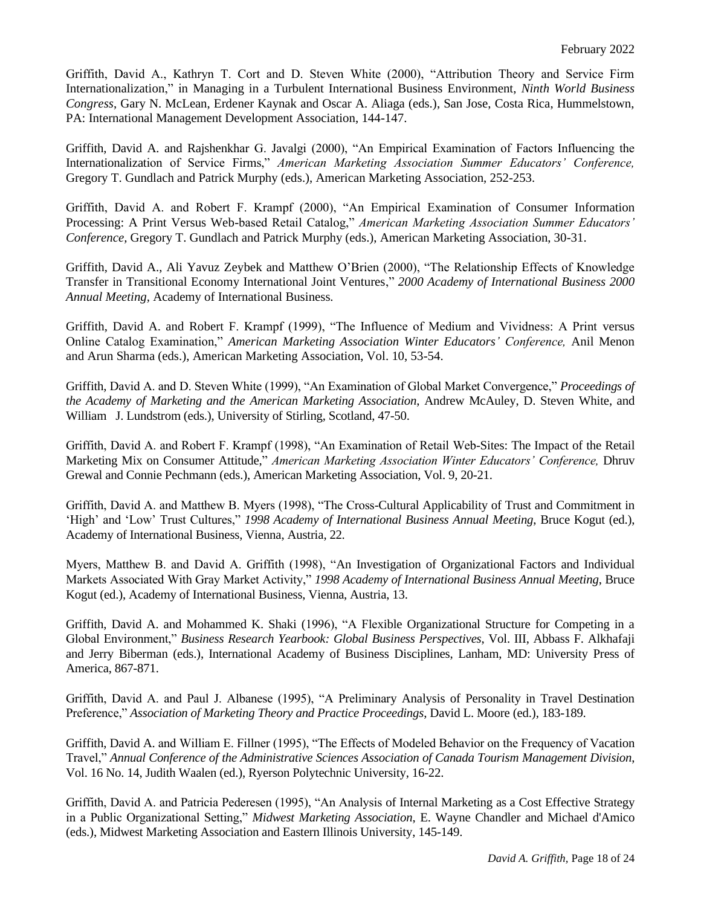Griffith, David A., Kathryn T. Cort and D. Steven White (2000), "Attribution Theory and Service Firm Internationalization," in Managing in a Turbulent International Business Environment, *Ninth World Business Congress*, Gary N. McLean, Erdener Kaynak and Oscar A. Aliaga (eds.), San Jose, Costa Rica, Hummelstown, PA: International Management Development Association, 144-147.

Griffith, David A. and Rajshenkhar G. Javalgi (2000), "An Empirical Examination of Factors Influencing the Internationalization of Service Firms," *American Marketing Association Summer Educators' Conference,*  Gregory T. Gundlach and Patrick Murphy (eds.), American Marketing Association, 252-253.

Griffith, David A. and Robert F. Krampf (2000), "An Empirical Examination of Consumer Information Processing: A Print Versus Web-based Retail Catalog," *American Marketing Association Summer Educators' Conference,* Gregory T. Gundlach and Patrick Murphy (eds.), American Marketing Association, 30-31.

Griffith, David A., Ali Yavuz Zeybek and Matthew O'Brien (2000), "The Relationship Effects of Knowledge Transfer in Transitional Economy International Joint Ventures," *2000 Academy of International Business 2000 Annual Meeting,* Academy of International Business.

Griffith, David A. and Robert F. Krampf (1999), "The Influence of Medium and Vividness: A Print versus Online Catalog Examination," *American Marketing Association Winter Educators' Conference,* Anil Menon and Arun Sharma (eds.), American Marketing Association, Vol. 10, 53-54.

Griffith, David A. and D. Steven White (1999), "An Examination of Global Market Convergence," *Proceedings of the Academy of Marketing and the American Marketing Association*, Andrew McAuley, D. Steven White, and William J. Lundstrom (eds.), University of Stirling, Scotland, 47-50.

Griffith, David A. and Robert F. Krampf (1998), "An Examination of Retail Web-Sites: The Impact of the Retail Marketing Mix on Consumer Attitude," *American Marketing Association Winter Educators' Conference,* Dhruv Grewal and Connie Pechmann (eds.), American Marketing Association, Vol. 9, 20-21.

Griffith, David A. and Matthew B. Myers (1998), "The Cross-Cultural Applicability of Trust and Commitment in 'High' and 'Low' Trust Cultures," *1998 Academy of International Business Annual Meeting*, Bruce Kogut (ed.), Academy of International Business, Vienna, Austria, 22.

Myers, Matthew B. and David A. Griffith (1998), "An Investigation of Organizational Factors and Individual Markets Associated With Gray Market Activity," *1998 Academy of International Business Annual Meeting*, Bruce Kogut (ed.), Academy of International Business, Vienna, Austria, 13.

Griffith, David A. and Mohammed K. Shaki (1996), "A Flexible Organizational Structure for Competing in a Global Environment," *Business Research Yearbook: Global Business Perspectives*, Vol. III, Abbass F. Alkhafaji and Jerry Biberman (eds.), International Academy of Business Disciplines, Lanham, MD: University Press of America, 867-871.

Griffith, David A. and Paul J. Albanese (1995), "A Preliminary Analysis of Personality in Travel Destination Preference," *Association of Marketing Theory and Practice Proceedings*, David L. Moore (ed.), 183-189.

Griffith, David A. and William E. Fillner (1995), "The Effects of Modeled Behavior on the Frequency of Vacation Travel," *Annual Conference of the Administrative Sciences Association of Canada Tourism Management Division*, Vol. 16 No. 14, Judith Waalen (ed.), Ryerson Polytechnic University, 16-22.

Griffith, David A. and Patricia Pederesen (1995), "An Analysis of Internal Marketing as a Cost Effective Strategy in a Public Organizational Setting," *Midwest Marketing Association*, E. Wayne Chandler and Michael d'Amico (eds.), Midwest Marketing Association and Eastern Illinois University, 145-149.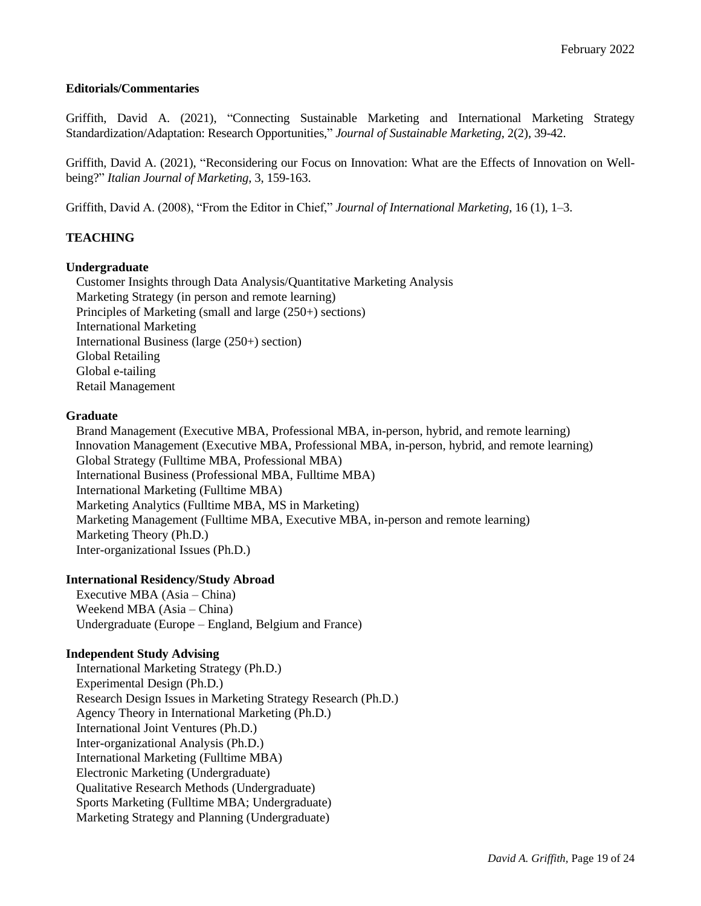### **Editorials/Commentaries**

Griffith, David A. (2021), "Connecting Sustainable Marketing and International Marketing Strategy Standardization/Adaptation: Research Opportunities," *Journal of Sustainable Marketing*, 2(2), 39-42.

Griffith, David A. (2021), "Reconsidering our Focus on Innovation: What are the Effects of Innovation on Wellbeing?" *Italian Journal of Marketing*, 3, 159-163.

Griffith, David A. (2008), "From the Editor in Chief," *Journal of International Marketing*, 16 (1), 1–3.

### **TEACHING**

### **Undergraduate**

Customer Insights through Data Analysis/Quantitative Marketing Analysis Marketing Strategy (in person and remote learning) Principles of Marketing (small and large (250+) sections) International Marketing International Business (large (250+) section) Global Retailing Global e-tailing Retail Management

### **Graduate**

Brand Management (Executive MBA, Professional MBA, in-person, hybrid, and remote learning) Innovation Management (Executive MBA, Professional MBA, in-person, hybrid, and remote learning) Global Strategy (Fulltime MBA, Professional MBA) International Business (Professional MBA, Fulltime MBA) International Marketing (Fulltime MBA) Marketing Analytics (Fulltime MBA, MS in Marketing) Marketing Management (Fulltime MBA, Executive MBA, in-person and remote learning) Marketing Theory (Ph.D.) Inter-organizational Issues (Ph.D.)

### **International Residency/Study Abroad**

Executive MBA (Asia – China) Weekend MBA (Asia – China) Undergraduate (Europe – England, Belgium and France)

### **Independent Study Advising**

 International Marketing Strategy (Ph.D.) Experimental Design (Ph.D.) Research Design Issues in Marketing Strategy Research (Ph.D.) Agency Theory in International Marketing (Ph.D.) International Joint Ventures (Ph.D.) Inter-organizational Analysis (Ph.D.) International Marketing (Fulltime MBA) Electronic Marketing (Undergraduate) Qualitative Research Methods (Undergraduate) Sports Marketing (Fulltime MBA; Undergraduate) Marketing Strategy and Planning (Undergraduate)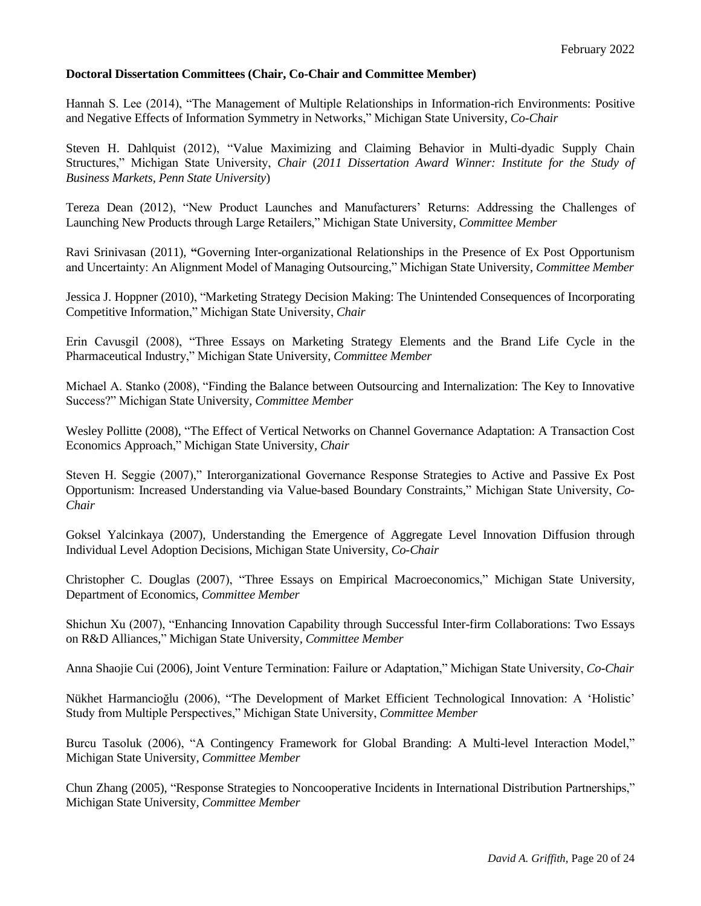#### **Doctoral Dissertation Committees (Chair, Co-Chair and Committee Member)**

Hannah S. Lee (2014), "The Management of Multiple Relationships in Information-rich Environments: Positive and Negative Effects of Information Symmetry in Networks," Michigan State University, *Co-Chair*

Steven H. Dahlquist (2012), "Value Maximizing and Claiming Behavior in Multi-dyadic Supply Chain Structures," Michigan State University, *Chair* (*2011 Dissertation Award Winner: Institute for the Study of Business Markets, Penn State University*)

Tereza Dean (2012), "New Product Launches and Manufacturers' Returns: Addressing the Challenges of Launching New Products through Large Retailers," Michigan State University, *Committee Member*

Ravi Srinivasan (2011), **"**Governing Inter-organizational Relationships in the Presence of Ex Post Opportunism and Uncertainty: An Alignment Model of Managing Outsourcing," Michigan State University, *Committee Member*

Jessica J. Hoppner (2010), "Marketing Strategy Decision Making: The Unintended Consequences of Incorporating Competitive Information," Michigan State University, *Chair*

Erin Cavusgil (2008), "Three Essays on Marketing Strategy Elements and the Brand Life Cycle in the Pharmaceutical Industry," Michigan State University, *Committee Member*

Michael A. Stanko (2008), "Finding the Balance between Outsourcing and Internalization: The Key to Innovative Success?" Michigan State University, *Committee Member*

Wesley Pollitte (2008), "The Effect of Vertical Networks on Channel Governance Adaptation: A Transaction Cost Economics Approach," Michigan State University, *Chair*

Steven H. Seggie (2007)," Interorganizational Governance Response Strategies to Active and Passive Ex Post Opportunism: Increased Understanding via Value-based Boundary Constraints," Michigan State University, *Co-Chair*

Goksel Yalcinkaya (2007), Understanding the Emergence of Aggregate Level Innovation Diffusion through Individual Level Adoption Decisions, Michigan State University, *Co-Chair*

Christopher C. Douglas (2007), "Three Essays on Empirical Macroeconomics," Michigan State University, Department of Economics, *Committee Member*

Shichun Xu (2007), "Enhancing Innovation Capability through Successful Inter-firm Collaborations: Two Essays on R&D Alliances," Michigan State University, *Committee Member*

Anna Shaojie Cui (2006), Joint Venture Termination: Failure or Adaptation," Michigan State University, *Co-Chair*

Nükhet Harmancioğlu (2006), "The Development of Market Efficient Technological Innovation: A 'Holistic' Study from Multiple Perspectives," Michigan State University, *Committee Member*

Burcu Tasoluk (2006), "A Contingency Framework for Global Branding: A Multi-level Interaction Model," Michigan State University, *Committee Member*

Chun Zhang (2005), "Response Strategies to Noncooperative Incidents in International Distribution Partnerships," Michigan State University, *Committee Member*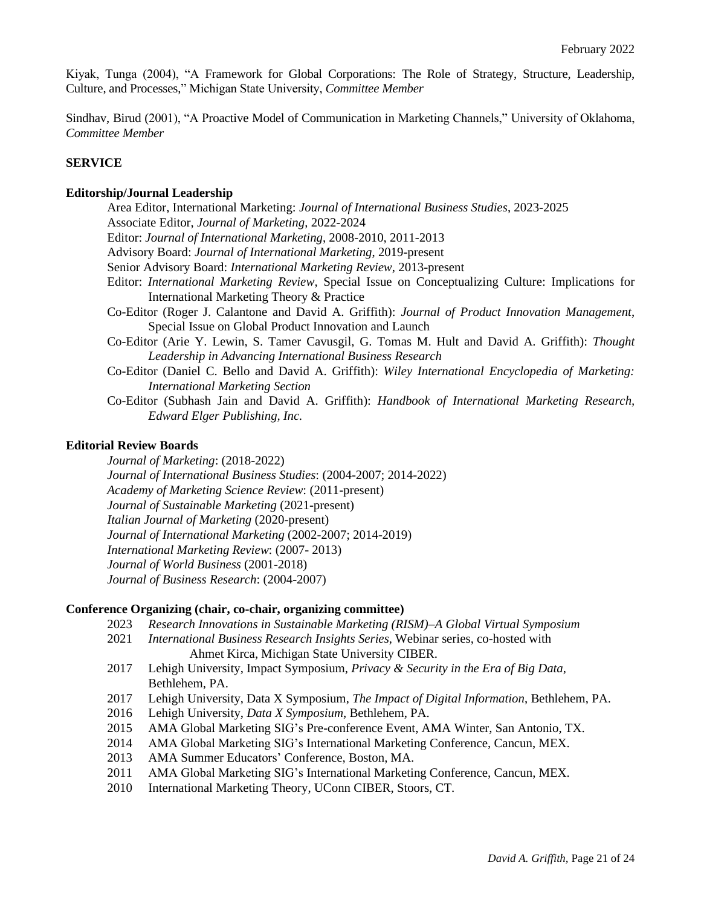Kiyak, Tunga (2004), "A Framework for Global Corporations: The Role of Strategy, Structure, Leadership, Culture, and Processes," Michigan State University, *Committee Member*

Sindhav, Birud (2001), "A Proactive Model of Communication in Marketing Channels," University of Oklahoma, *Committee Member*

## **SERVICE**

#### **Editorship/Journal Leadership**

Area Editor, International Marketing: *Journal of International Business Studies*, 2023-2025 Associate Editor, *Journal of Marketing*, 2022-2024 Editor: *Journal of International Marketing*, 2008-2010, 2011-2013 Advisory Board: *Journal of International Marketing*, 2019-present Senior Advisory Board: *International Marketing Review*, 2013-present Editor: *International Marketing Review*, Special Issue on Conceptualizing Culture: Implications for International Marketing Theory & Practice Co-Editor (Roger J. Calantone and David A. Griffith): *Journal of Product Innovation Management*, Special Issue on Global Product Innovation and Launch Co-Editor (Arie Y. Lewin, S. Tamer Cavusgil, G. Tomas M. Hult and David A. Griffith): *Thought Leadership in Advancing International Business Research* Co-Editor (Daniel C. Bello and David A. Griffith): *Wiley International Encyclopedia of Marketing: International Marketing Section* Co-Editor (Subhash Jain and David A. Griffith): *Handbook of International Marketing Research, Edward Elger Publishing, Inc.*

#### **Editorial Review Boards**

*Journal of Marketing*: (2018-2022) *Journal of International Business Studies*: (2004-2007; 2014-2022) *Academy of Marketing Science Review*: (2011-present) *Journal of Sustainable Marketing* (2021-present) *Italian Journal of Marketing* (2020-present) *Journal of International Marketing* (2002-2007; 2014-2019) *International Marketing Review*: (2007- 2013) *Journal of World Business* (2001-2018) *Journal of Business Research*: (2004-2007)

#### **Conference Organizing (chair, co-chair, organizing committee)**

- 2023 *Research Innovations in Sustainable Marketing (RISM)–A Global Virtual Symposium*
- 2021 *International Business Research Insights Series*, Webinar series, co-hosted with Ahmet Kirca, Michigan State University CIBER.
- 2017 Lehigh University, Impact Symposium, *Privacy & Security in the Era of Big Data*, Bethlehem, PA.
- 2017 Lehigh University, Data X Symposium, *The Impact of Digital Information*, Bethlehem, PA.
- 2016 Lehigh University, *Data X Symposium*, Bethlehem, PA.
- 2015 AMA Global Marketing SIG's Pre-conference Event, AMA Winter, San Antonio, TX.
- 2014 AMA Global Marketing SIG's International Marketing Conference, Cancun, MEX.
- 2013 AMA Summer Educators' Conference, Boston, MA.
- 2011 AMA Global Marketing SIG's International Marketing Conference, Cancun, MEX.
- 2010 International Marketing Theory, UConn CIBER, Stoors, CT.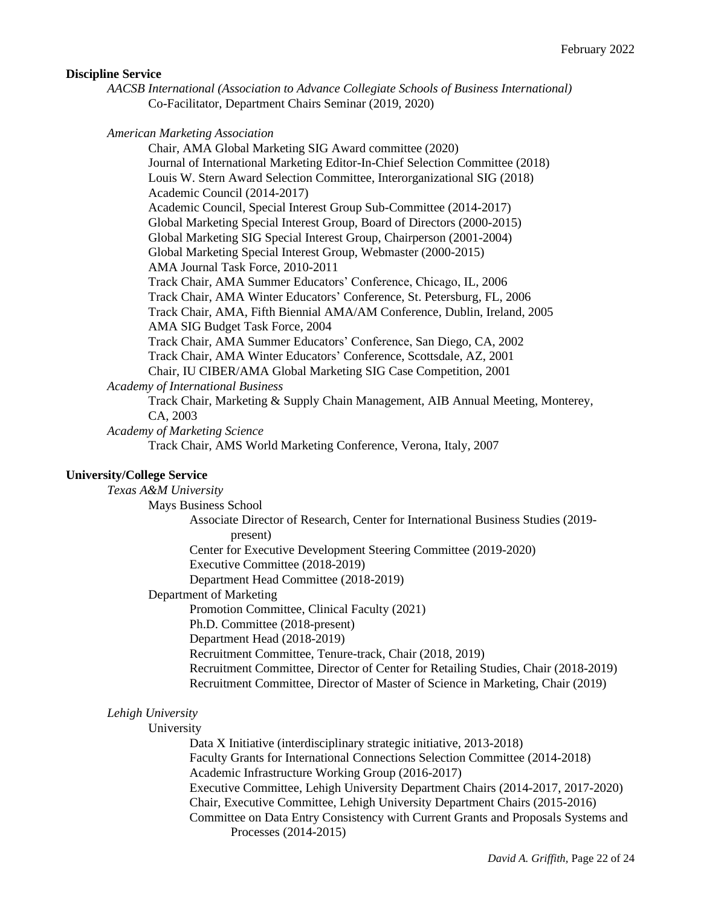#### **Discipline Service**

*AACSB International (Association to Advance Collegiate Schools of Business International)* Co-Facilitator, Department Chairs Seminar (2019, 2020)

*American Marketing Association*

Chair, AMA Global Marketing SIG Award committee (2020) Journal of International Marketing Editor-In-Chief Selection Committee (2018) Louis W. Stern Award Selection Committee, Interorganizational SIG (2018) Academic Council (2014-2017) Academic Council, Special Interest Group Sub-Committee (2014-2017) Global Marketing Special Interest Group, Board of Directors (2000-2015) Global Marketing SIG Special Interest Group, Chairperson (2001-2004) Global Marketing Special Interest Group, Webmaster (2000-2015) AMA Journal Task Force, 2010-2011 Track Chair, AMA Summer Educators' Conference, Chicago, IL, 2006 Track Chair, AMA Winter Educators' Conference, St. Petersburg, FL, 2006 Track Chair, AMA, Fifth Biennial AMA/AM Conference, Dublin, Ireland, 2005 AMA SIG Budget Task Force, 2004 Track Chair, AMA Summer Educators' Conference, San Diego, CA, 2002 Track Chair, AMA Winter Educators' Conference, Scottsdale, AZ, 2001 Chair, IU CIBER/AMA Global Marketing SIG Case Competition, 2001 *Academy of International Business* Track Chair, Marketing & Supply Chain Management, AIB Annual Meeting, Monterey, CA, 2003

*Academy of Marketing Science*

Track Chair, AMS World Marketing Conference, Verona, Italy, 2007

#### **University/College Service**

*Texas A&M University*

Mays Business School

Associate Director of Research, Center for International Business Studies (2019 present)

Center for Executive Development Steering Committee (2019-2020)

Executive Committee (2018-2019)

Department Head Committee (2018-2019)

Department of Marketing

Promotion Committee, Clinical Faculty (2021)

Ph.D. Committee (2018-present)

Department Head (2018-2019)

Recruitment Committee, Tenure-track, Chair (2018, 2019)

Recruitment Committee, Director of Center for Retailing Studies, Chair (2018-2019) Recruitment Committee, Director of Master of Science in Marketing, Chair (2019)

### *Lehigh University*

### University

Data X Initiative (interdisciplinary strategic initiative, 2013-2018) Faculty Grants for International Connections Selection Committee (2014-2018) Academic Infrastructure Working Group (2016-2017) Executive Committee, Lehigh University Department Chairs (2014-2017, 2017-2020) Chair, Executive Committee, Lehigh University Department Chairs (2015-2016) Committee on Data Entry Consistency with Current Grants and Proposals Systems and Processes (2014-2015)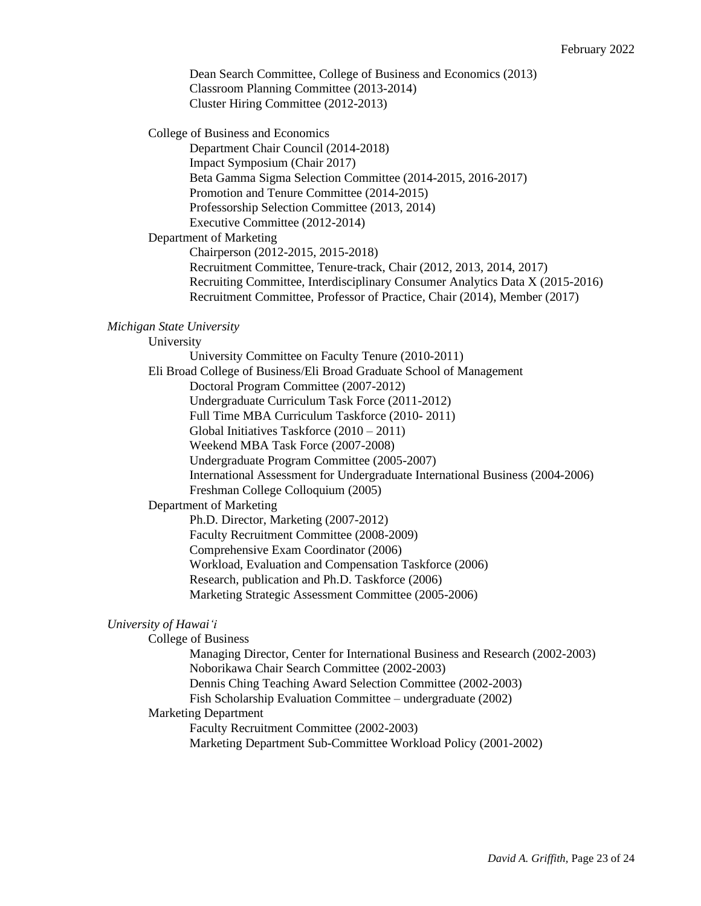Dean Search Committee, College of Business and Economics (2013) Classroom Planning Committee (2013-2014) Cluster Hiring Committee (2012-2013)

College of Business and Economics

Department Chair Council (2014-2018) Impact Symposium (Chair 2017) Beta Gamma Sigma Selection Committee (2014-2015, 2016-2017) Promotion and Tenure Committee (2014-2015) Professorship Selection Committee (2013, 2014) Executive Committee (2012-2014)

#### Department of Marketing

Chairperson (2012-2015, 2015-2018) Recruitment Committee, Tenure-track, Chair (2012, 2013, 2014, 2017) Recruiting Committee, Interdisciplinary Consumer Analytics Data X (2015-2016) Recruitment Committee, Professor of Practice, Chair (2014), Member (2017)

### *Michigan State University*

University

University Committee on Faculty Tenure (2010-2011) Eli Broad College of Business/Eli Broad Graduate School of Management Doctoral Program Committee (2007-2012) Undergraduate Curriculum Task Force (2011-2012) Full Time MBA Curriculum Taskforce (2010- 2011) Global Initiatives Taskforce (2010 – 2011) Weekend MBA Task Force (2007-2008) Undergraduate Program Committee (2005-2007) International Assessment for Undergraduate International Business (2004-2006) Freshman College Colloquium (2005) Department of Marketing Ph.D. Director, Marketing (2007-2012) Faculty Recruitment Committee (2008-2009) Comprehensive Exam Coordinator (2006) Workload, Evaluation and Compensation Taskforce (2006)

Research, publication and Ph.D. Taskforce (2006)

Marketing Strategic Assessment Committee (2005-2006)

#### *University of Hawai'i*

College of Business

Managing Director, Center for International Business and Research (2002-2003) Noborikawa Chair Search Committee (2002-2003) Dennis Ching Teaching Award Selection Committee (2002-2003) Fish Scholarship Evaluation Committee – undergraduate (2002) Marketing Department Faculty Recruitment Committee (2002-2003)

Marketing Department Sub-Committee Workload Policy (2001-2002)